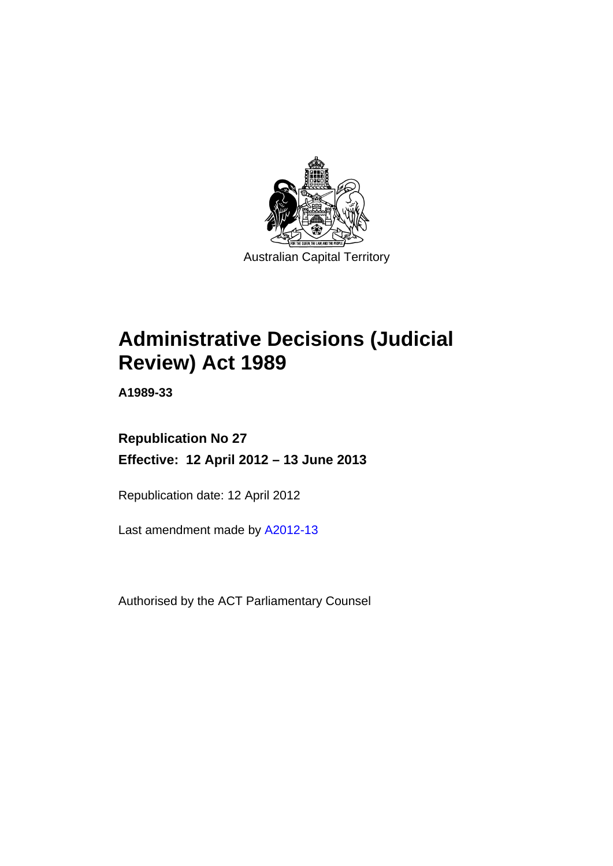

# **Administrative Decisions (Judicial Review) Act 1989**

**A1989-33** 

# **Republication No 27 Effective: 12 April 2012 – 13 June 2013**

Republication date: 12 April 2012

Last amendment made by [A2012-13](http://www.legislation.act.gov.au/a/2012-13)

Authorised by the ACT Parliamentary Counsel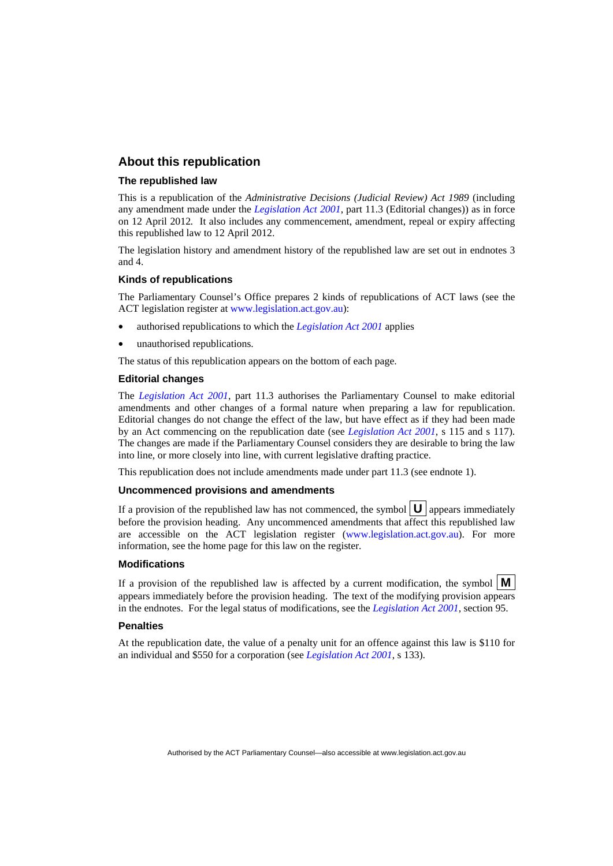## **About this republication**

#### **The republished law**

This is a republication of the *Administrative Decisions (Judicial Review) Act 1989* (including any amendment made under the *[Legislation Act 2001](http://www.legislation.act.gov.au/a/2001-14)*, part 11.3 (Editorial changes)) as in force on 12 April 2012*.* It also includes any commencement, amendment, repeal or expiry affecting this republished law to 12 April 2012.

The legislation history and amendment history of the republished law are set out in endnotes 3 and 4.

#### **Kinds of republications**

The Parliamentary Counsel's Office prepares 2 kinds of republications of ACT laws (see the ACT legislation register at [www.legislation.act.gov.au](http://www.legislation.act.gov.au/)):

- authorised republications to which the *[Legislation Act 2001](http://www.legislation.act.gov.au/a/2001-14)* applies
- unauthorised republications.

The status of this republication appears on the bottom of each page.

#### **Editorial changes**

The *[Legislation Act 2001](http://www.legislation.act.gov.au/a/2001-14)*, part 11.3 authorises the Parliamentary Counsel to make editorial amendments and other changes of a formal nature when preparing a law for republication. Editorial changes do not change the effect of the law, but have effect as if they had been made by an Act commencing on the republication date (see *[Legislation Act 2001](http://www.legislation.act.gov.au/a/2001-14)*, s 115 and s 117). The changes are made if the Parliamentary Counsel considers they are desirable to bring the law into line, or more closely into line, with current legislative drafting practice.

This republication does not include amendments made under part 11.3 (see endnote 1).

#### **Uncommenced provisions and amendments**

If a provision of the republished law has not commenced, the symbol  $\mathbf{U}$  appears immediately before the provision heading. Any uncommenced amendments that affect this republished law are accessible on the ACT legislation register [\(www.legislation.act.gov.au\)](http://www.legislation.act.gov.au/). For more information, see the home page for this law on the register.

#### **Modifications**

If a provision of the republished law is affected by a current modification, the symbol  $\mathbf{M}$ appears immediately before the provision heading. The text of the modifying provision appears in the endnotes. For the legal status of modifications, see the *[Legislation Act 2001](http://www.legislation.act.gov.au/a/2001-14)*, section 95.

#### **Penalties**

At the republication date, the value of a penalty unit for an offence against this law is \$110 for an individual and \$550 for a corporation (see *[Legislation Act 2001](http://www.legislation.act.gov.au/a/2001-14)*, s 133).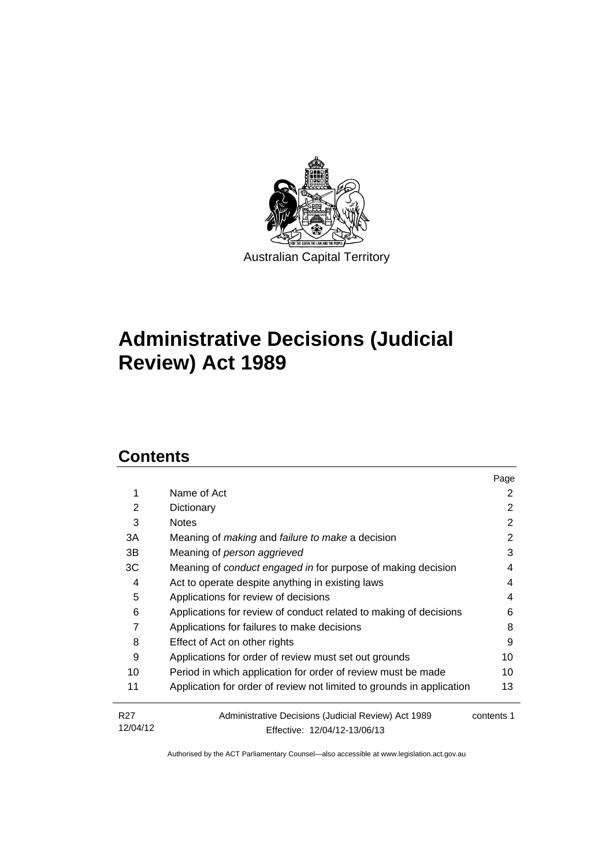

# **Administrative Decisions (Judicial Review) Act 1989**

# **Contents**

|                 |                                                                       | Page       |
|-----------------|-----------------------------------------------------------------------|------------|
| 1               | Name of Act                                                           | 2          |
| 2               | Dictionary                                                            | 2          |
| 3               | <b>Notes</b>                                                          | 2          |
| 3A              | Meaning of <i>making</i> and <i>failure to make</i> a decision        | 2          |
| 3B              | Meaning of person aggrieved                                           | 3          |
| ЗC              | Meaning of <i>conduct engaged in</i> for purpose of making decision   | 4          |
| 4               | Act to operate despite anything in existing laws                      | 4          |
| 5               | Applications for review of decisions                                  | 4          |
| 6               | Applications for review of conduct related to making of decisions     | 6          |
| 7               | Applications for failures to make decisions                           | 8          |
| 8               | Effect of Act on other rights                                         | 9          |
| 9               | Applications for order of review must set out grounds                 | 10         |
| 10              | Period in which application for order of review must be made          | 10         |
| 11              | Application for order of review not limited to grounds in application | 13         |
| R <sub>27</sub> | Administrative Decisions (Judicial Review) Act 1989                   | contents 1 |
| 12/04/12        | Effective: 12/04/12-13/06/13                                          |            |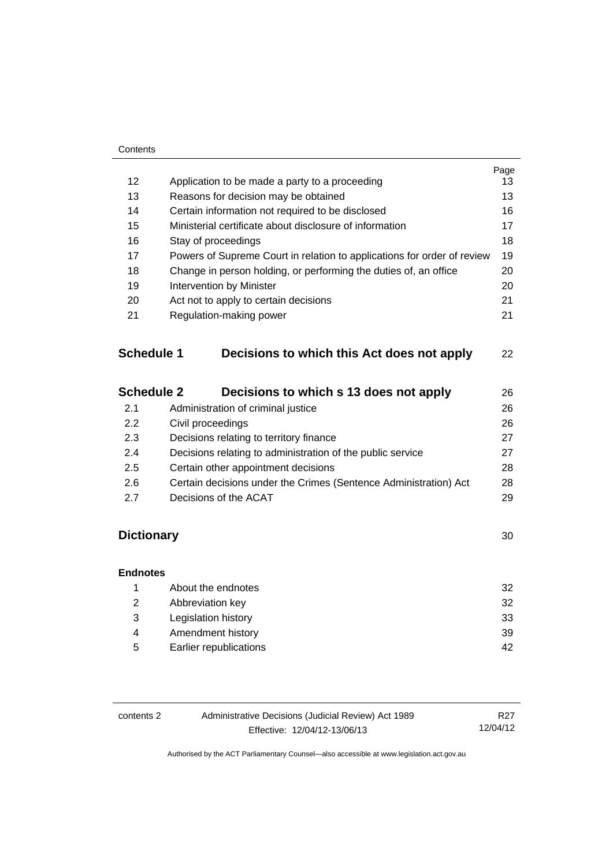| 12 <sup>2</sup>   | Application to be made a party to a proceeding                          | Page<br>13 |
|-------------------|-------------------------------------------------------------------------|------------|
| 13                | Reasons for decision may be obtained                                    | 13         |
| 14                | Certain information not required to be disclosed                        | 16         |
| 15                | Ministerial certificate about disclosure of information                 | 17         |
| 16                | Stay of proceedings                                                     | 18         |
| 17                | Powers of Supreme Court in relation to applications for order of review | 19         |
| 18                | Change in person holding, or performing the duties of, an office        | 20         |
| 19                | Intervention by Minister                                                | 20         |
| 20                | Act not to apply to certain decisions                                   | 21         |
| 21                | Regulation-making power                                                 | 21         |
| <b>Schedule 1</b> | Decisions to which this Act does not apply                              | 22         |
| <b>Schedule 2</b> | Decisions to which s 13 does not apply                                  | 26         |
| 2.1               | Administration of criminal justice                                      | 26         |
| 2.2               | Civil proceedings                                                       | 26         |
| 2.3               | Decisions relating to territory finance                                 | 27         |
| 2.4               | Decisions relating to administration of the public service              | 27         |
| 2.5               | Certain other appointment decisions                                     | 28         |
| 2.6               | Certain decisions under the Crimes (Sentence Administration) Act        | 28         |
| 2.7               | Decisions of the ACAT                                                   | 29         |
| <b>Dictionary</b> |                                                                         | 30         |
| <b>Endnotes</b>   |                                                                         |            |

|   | About the endnotes     | 32 |
|---|------------------------|----|
| 2 | Abbreviation key       | 32 |
| 3 | Legislation history    | 33 |
| 4 | Amendment history      | 39 |
| 5 | Earlier republications | 42 |
|   |                        |    |

| Administrative Decisions (Judicial Review) Act 1989<br>contents 2 |                              | R27      |
|-------------------------------------------------------------------|------------------------------|----------|
|                                                                   | Effective: 12/04/12-13/06/13 | 12/04/12 |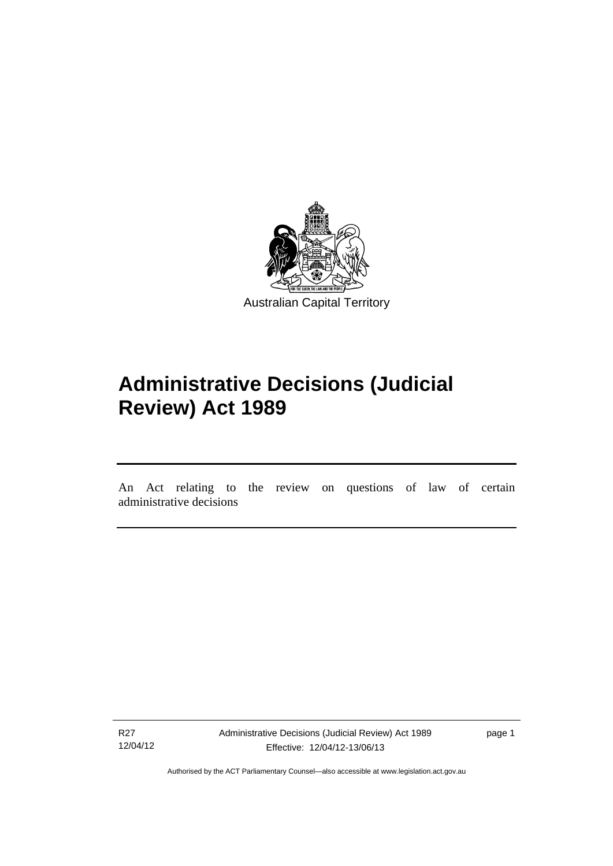

# **Administrative Decisions (Judicial Review) Act 1989**

An Act relating to the review on questions of law of certain administrative decisions

R27 12/04/12

l

Administrative Decisions (Judicial Review) Act 1989 Effective: 12/04/12-13/06/13

page 1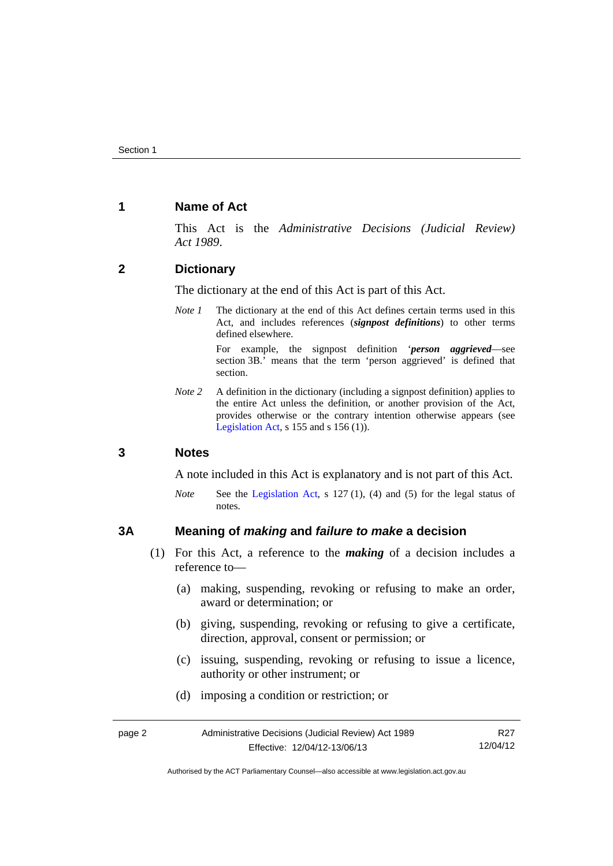## <span id="page-5-0"></span>**1 Name of Act**

This Act is the *Administrative Decisions (Judicial Review) Act 1989*.

## <span id="page-5-1"></span>**2 Dictionary**

The dictionary at the end of this Act is part of this Act.

*Note 1* The dictionary at the end of this Act defines certain terms used in this Act, and includes references (*signpost definitions*) to other terms defined elsewhere.

> For example, the signpost definition '*person aggrieved*—see section 3B.' means that the term 'person aggrieved' is defined that section.

*Note* 2 A definition in the dictionary (including a signpost definition) applies to the entire Act unless the definition, or another provision of the Act, provides otherwise or the contrary intention otherwise appears (see [Legislation Act,](http://www.legislation.act.gov.au/a/2001-14) s  $155$  and s  $156$  (1)).

## <span id="page-5-2"></span>**3 Notes**

A note included in this Act is explanatory and is not part of this Act.

*Note* See the [Legislation Act,](http://www.legislation.act.gov.au/a/2001-14) s 127 (1), (4) and (5) for the legal status of notes.

## <span id="page-5-3"></span>**3A Meaning of** *making* **and** *failure to make* **a decision**

- (1) For this Act, a reference to the *making* of a decision includes a reference to—
	- (a) making, suspending, revoking or refusing to make an order, award or determination; or
	- (b) giving, suspending, revoking or refusing to give a certificate, direction, approval, consent or permission; or
	- (c) issuing, suspending, revoking or refusing to issue a licence, authority or other instrument; or
	- (d) imposing a condition or restriction; or

| page 2 | Administrative Decisions (Judicial Review) Act 1989 | R <sub>27</sub> |
|--------|-----------------------------------------------------|-----------------|
|        | Effective: 12/04/12-13/06/13                        | 12/04/12        |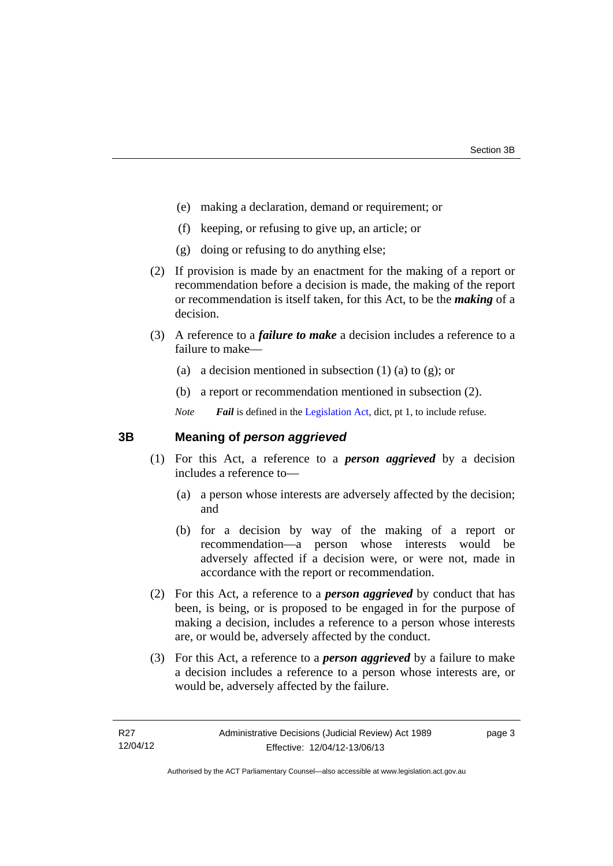- (e) making a declaration, demand or requirement; or
- (f) keeping, or refusing to give up, an article; or
- (g) doing or refusing to do anything else;
- (2) If provision is made by an enactment for the making of a report or recommendation before a decision is made, the making of the report or recommendation is itself taken, for this Act, to be the *making* of a decision.
- (3) A reference to a *failure to make* a decision includes a reference to a failure to make—
	- (a) a decision mentioned in subsection  $(1)$  (a) to  $(g)$ ; or
	- (b) a report or recommendation mentioned in subsection (2).
	- *Note Fail* is defined in the [Legislation Act](http://www.legislation.act.gov.au/a/2001-14), dict, pt 1, to include refuse.

# <span id="page-6-0"></span>**3B Meaning of** *person aggrieved*

- (1) For this Act, a reference to a *person aggrieved* by a decision includes a reference to—
	- (a) a person whose interests are adversely affected by the decision; and
	- (b) for a decision by way of the making of a report or recommendation—a person whose interests would be adversely affected if a decision were, or were not, made in accordance with the report or recommendation.
- (2) For this Act, a reference to a *person aggrieved* by conduct that has been, is being, or is proposed to be engaged in for the purpose of making a decision, includes a reference to a person whose interests are, or would be, adversely affected by the conduct.
- (3) For this Act, a reference to a *person aggrieved* by a failure to make a decision includes a reference to a person whose interests are, or would be, adversely affected by the failure.

page 3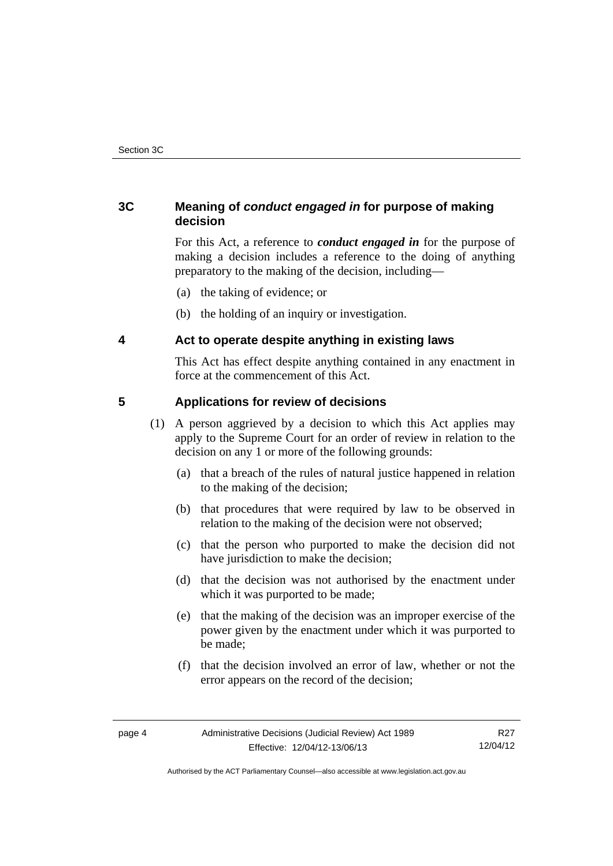# <span id="page-7-0"></span>**3C Meaning of** *conduct engaged in* **for purpose of making decision**

For this Act, a reference to *conduct engaged in* for the purpose of making a decision includes a reference to the doing of anything preparatory to the making of the decision, including—

- (a) the taking of evidence; or
- (b) the holding of an inquiry or investigation.

# <span id="page-7-1"></span>**4 Act to operate despite anything in existing laws**

This Act has effect despite anything contained in any enactment in force at the commencement of this Act.

# <span id="page-7-2"></span>**5 Applications for review of decisions**

- (1) A person aggrieved by a decision to which this Act applies may apply to the Supreme Court for an order of review in relation to the decision on any 1 or more of the following grounds:
	- (a) that a breach of the rules of natural justice happened in relation to the making of the decision;
	- (b) that procedures that were required by law to be observed in relation to the making of the decision were not observed;
	- (c) that the person who purported to make the decision did not have jurisdiction to make the decision;
	- (d) that the decision was not authorised by the enactment under which it was purported to be made;
	- (e) that the making of the decision was an improper exercise of the power given by the enactment under which it was purported to be made;
	- (f) that the decision involved an error of law, whether or not the error appears on the record of the decision;

Authorised by the ACT Parliamentary Counsel—also accessible at www.legislation.act.gov.au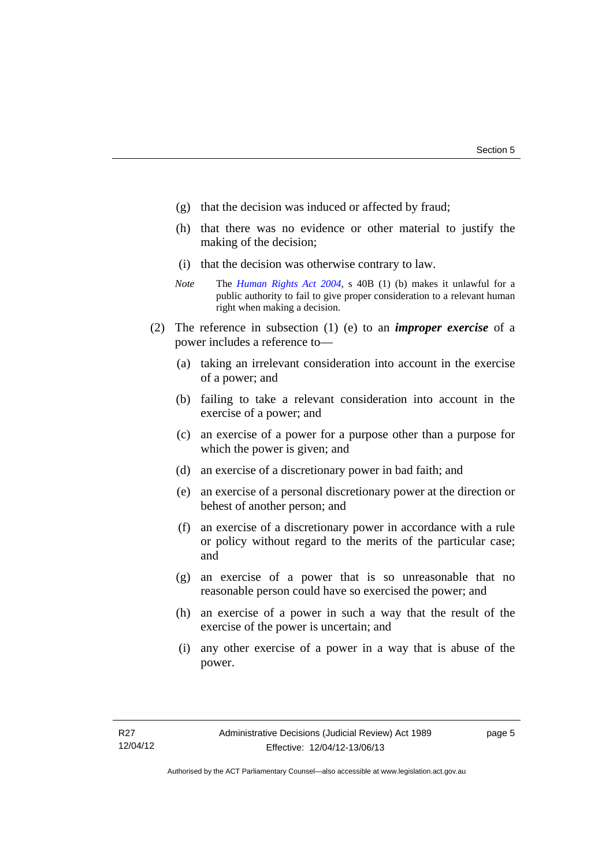- (g) that the decision was induced or affected by fraud;
- (h) that there was no evidence or other material to justify the making of the decision;
- (i) that the decision was otherwise contrary to law.
- *Note* The *[Human Rights Act 2004](http://www.legislation.act.gov.au/a/2004-5)*, s 40B (1) (b) makes it unlawful for a public authority to fail to give proper consideration to a relevant human right when making a decision.
- (2) The reference in subsection (1) (e) to an *improper exercise* of a power includes a reference to—
	- (a) taking an irrelevant consideration into account in the exercise of a power; and
	- (b) failing to take a relevant consideration into account in the exercise of a power; and
	- (c) an exercise of a power for a purpose other than a purpose for which the power is given; and
	- (d) an exercise of a discretionary power in bad faith; and
	- (e) an exercise of a personal discretionary power at the direction or behest of another person; and
	- (f) an exercise of a discretionary power in accordance with a rule or policy without regard to the merits of the particular case; and
	- (g) an exercise of a power that is so unreasonable that no reasonable person could have so exercised the power; and
	- (h) an exercise of a power in such a way that the result of the exercise of the power is uncertain; and
	- (i) any other exercise of a power in a way that is abuse of the power.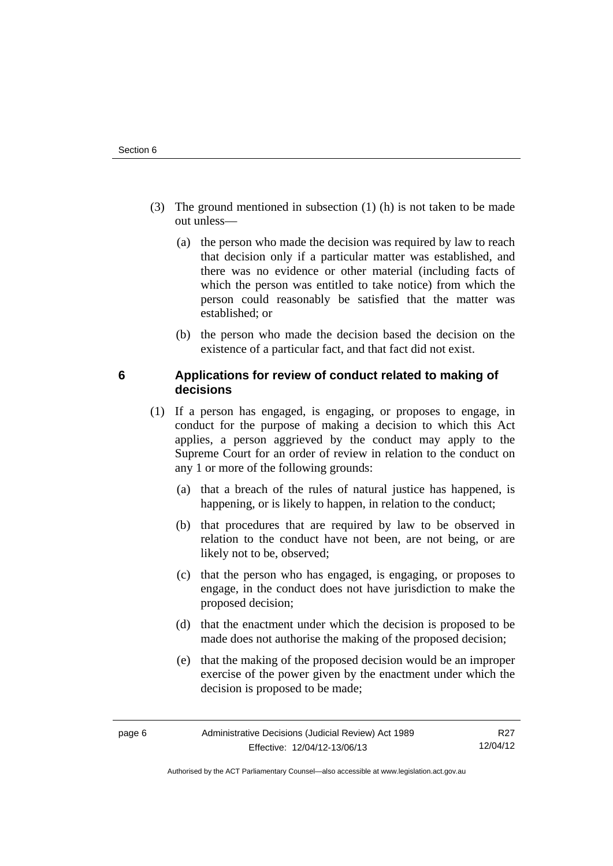- (3) The ground mentioned in subsection (1) (h) is not taken to be made out unless—
	- (a) the person who made the decision was required by law to reach that decision only if a particular matter was established, and there was no evidence or other material (including facts of which the person was entitled to take notice) from which the person could reasonably be satisfied that the matter was established; or
	- (b) the person who made the decision based the decision on the existence of a particular fact, and that fact did not exist.

# <span id="page-9-0"></span>**6 Applications for review of conduct related to making of decisions**

- (1) If a person has engaged, is engaging, or proposes to engage, in conduct for the purpose of making a decision to which this Act applies, a person aggrieved by the conduct may apply to the Supreme Court for an order of review in relation to the conduct on any 1 or more of the following grounds:
	- (a) that a breach of the rules of natural justice has happened, is happening, or is likely to happen, in relation to the conduct;
	- (b) that procedures that are required by law to be observed in relation to the conduct have not been, are not being, or are likely not to be, observed;
	- (c) that the person who has engaged, is engaging, or proposes to engage, in the conduct does not have jurisdiction to make the proposed decision;
	- (d) that the enactment under which the decision is proposed to be made does not authorise the making of the proposed decision;
	- (e) that the making of the proposed decision would be an improper exercise of the power given by the enactment under which the decision is proposed to be made;

Authorised by the ACT Parliamentary Counsel—also accessible at www.legislation.act.gov.au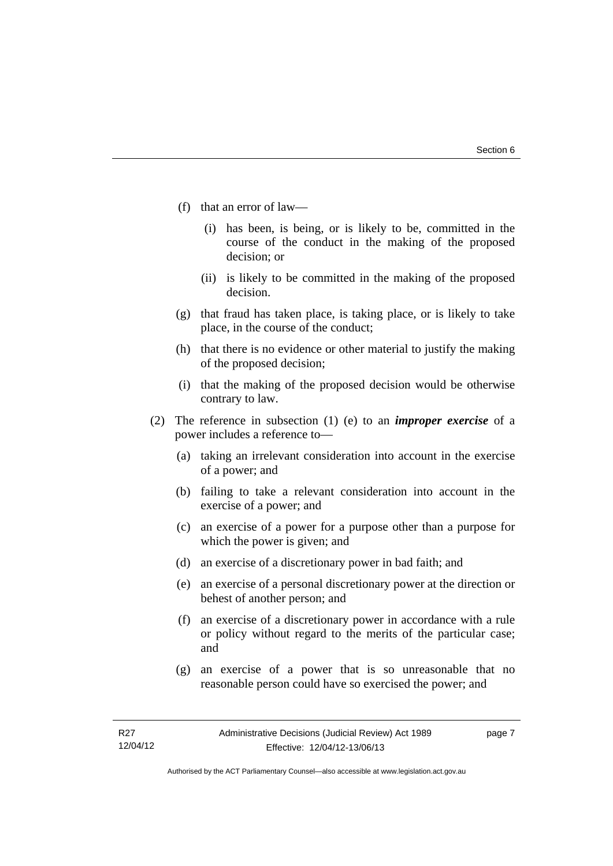- (f) that an error of law—
	- (i) has been, is being, or is likely to be, committed in the course of the conduct in the making of the proposed decision; or
	- (ii) is likely to be committed in the making of the proposed decision.
- (g) that fraud has taken place, is taking place, or is likely to take place, in the course of the conduct;
- (h) that there is no evidence or other material to justify the making of the proposed decision;
- (i) that the making of the proposed decision would be otherwise contrary to law.
- (2) The reference in subsection (1) (e) to an *improper exercise* of a power includes a reference to—
	- (a) taking an irrelevant consideration into account in the exercise of a power; and
	- (b) failing to take a relevant consideration into account in the exercise of a power; and
	- (c) an exercise of a power for a purpose other than a purpose for which the power is given; and
	- (d) an exercise of a discretionary power in bad faith; and
	- (e) an exercise of a personal discretionary power at the direction or behest of another person; and
	- (f) an exercise of a discretionary power in accordance with a rule or policy without regard to the merits of the particular case; and
	- (g) an exercise of a power that is so unreasonable that no reasonable person could have so exercised the power; and

page 7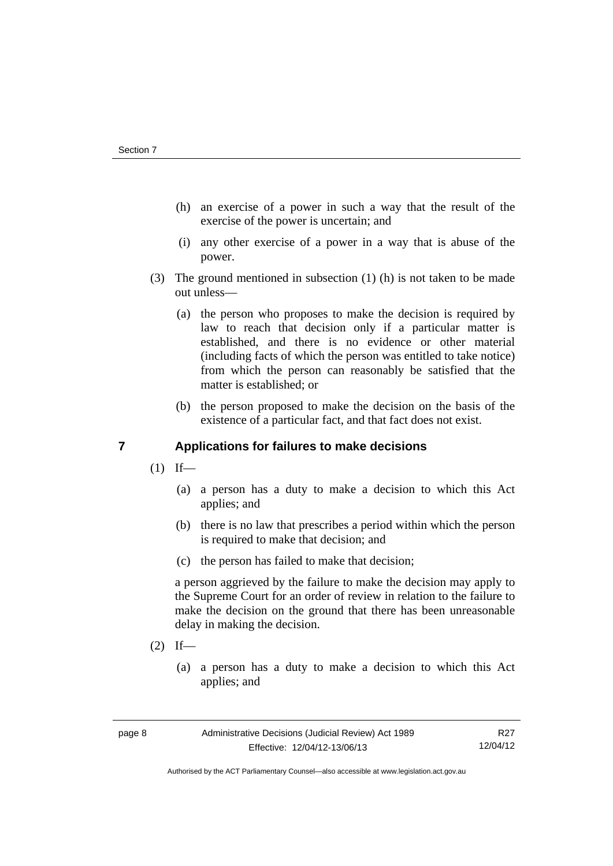- (h) an exercise of a power in such a way that the result of the exercise of the power is uncertain; and
- (i) any other exercise of a power in a way that is abuse of the power.
- (3) The ground mentioned in subsection (1) (h) is not taken to be made out unless—
	- (a) the person who proposes to make the decision is required by law to reach that decision only if a particular matter is established, and there is no evidence or other material (including facts of which the person was entitled to take notice) from which the person can reasonably be satisfied that the matter is established; or
	- (b) the person proposed to make the decision on the basis of the existence of a particular fact, and that fact does not exist.

# <span id="page-11-0"></span>**7 Applications for failures to make decisions**

- $(1)$  If—
	- (a) a person has a duty to make a decision to which this Act applies; and
	- (b) there is no law that prescribes a period within which the person is required to make that decision; and
	- (c) the person has failed to make that decision;

a person aggrieved by the failure to make the decision may apply to the Supreme Court for an order of review in relation to the failure to make the decision on the ground that there has been unreasonable delay in making the decision.

- $(2)$  If—
	- (a) a person has a duty to make a decision to which this Act applies; and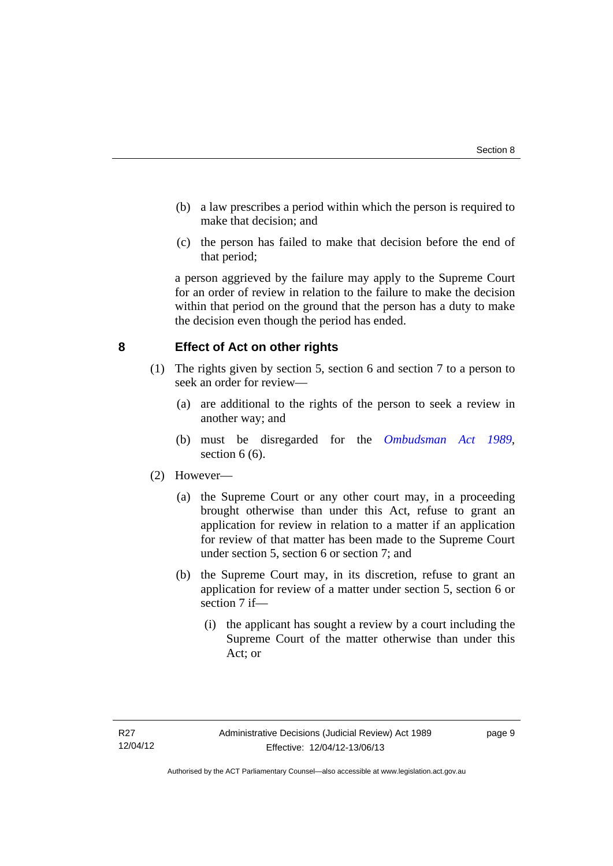- (b) a law prescribes a period within which the person is required to make that decision; and
- (c) the person has failed to make that decision before the end of that period;

a person aggrieved by the failure may apply to the Supreme Court for an order of review in relation to the failure to make the decision within that period on the ground that the person has a duty to make the decision even though the period has ended.

# <span id="page-12-0"></span>**8 Effect of Act on other rights**

- (1) The rights given by section 5, section 6 and section 7 to a person to seek an order for review—
	- (a) are additional to the rights of the person to seek a review in another way; and
	- (b) must be disregarded for the *[Ombudsman Act 1989](http://www.legislation.act.gov.au/a/alt_a1989-45co)*, section  $6(6)$ .

## (2) However—

- (a) the Supreme Court or any other court may, in a proceeding brought otherwise than under this Act, refuse to grant an application for review in relation to a matter if an application for review of that matter has been made to the Supreme Court under section 5, section 6 or section 7; and
- (b) the Supreme Court may, in its discretion, refuse to grant an application for review of a matter under section 5, section 6 or section 7 if—
	- (i) the applicant has sought a review by a court including the Supreme Court of the matter otherwise than under this Act; or

page 9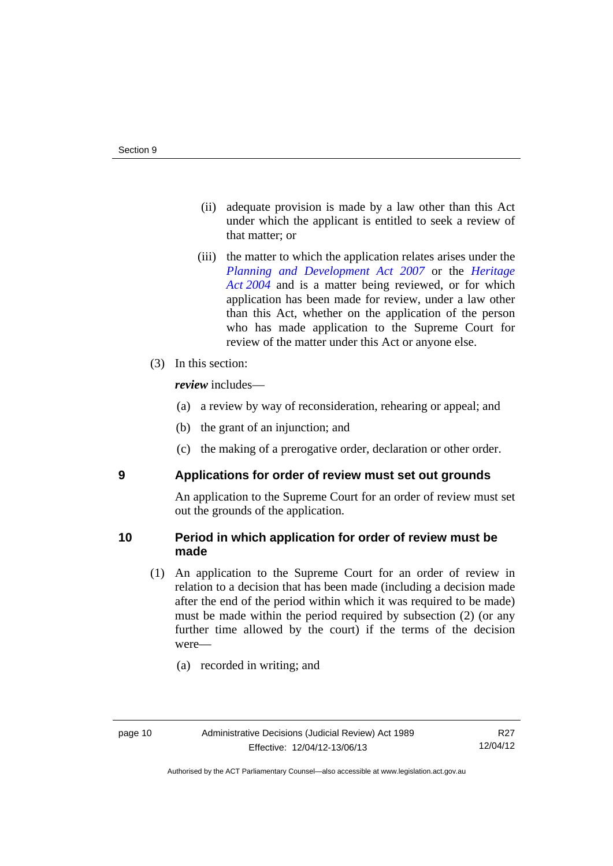- (ii) adequate provision is made by a law other than this Act under which the applicant is entitled to seek a review of that matter; or
- (iii) the matter to which the application relates arises under the *[Planning and Development Act 2007](http://www.legislation.act.gov.au/a/2007-24)* or the *[Heritage](http://www.legislation.act.gov.au/a/2004-57)  [Act 2004](http://www.legislation.act.gov.au/a/2004-57)* and is a matter being reviewed, or for which application has been made for review, under a law other than this Act, whether on the application of the person who has made application to the Supreme Court for review of the matter under this Act or anyone else.
- (3) In this section:

*review* includes—

- (a) a review by way of reconsideration, rehearing or appeal; and
- (b) the grant of an injunction; and
- (c) the making of a prerogative order, declaration or other order.

<span id="page-13-0"></span>

## **9 Applications for order of review must set out grounds**

An application to the Supreme Court for an order of review must set out the grounds of the application.

# <span id="page-13-1"></span>**10 Period in which application for order of review must be made**

- (1) An application to the Supreme Court for an order of review in relation to a decision that has been made (including a decision made after the end of the period within which it was required to be made) must be made within the period required by subsection (2) (or any further time allowed by the court) if the terms of the decision were—
	- (a) recorded in writing; and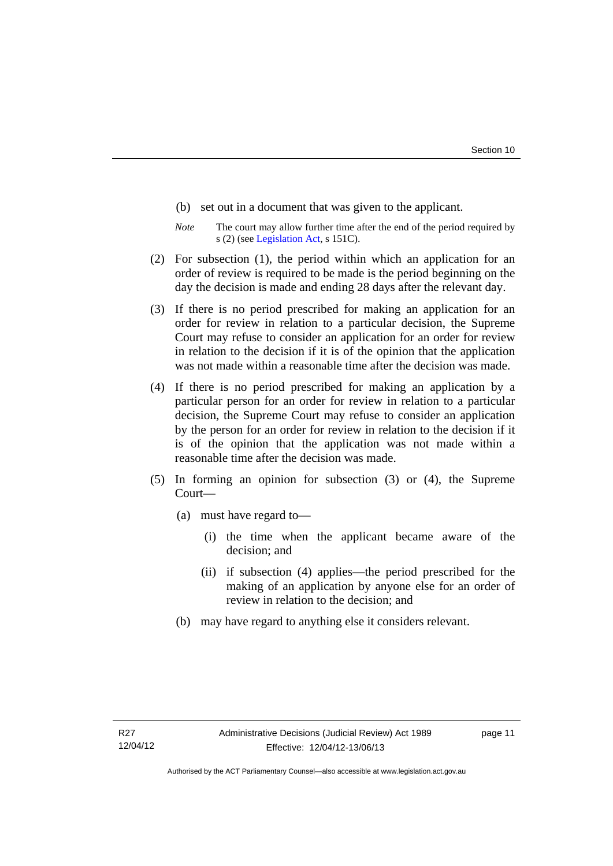- (b) set out in a document that was given to the applicant.
- *Note* The court may allow further time after the end of the period required by s (2) (see [Legislation Act](http://www.legislation.act.gov.au/a/2001-14), s 151C).
- (2) For subsection (1), the period within which an application for an order of review is required to be made is the period beginning on the day the decision is made and ending 28 days after the relevant day.
- (3) If there is no period prescribed for making an application for an order for review in relation to a particular decision, the Supreme Court may refuse to consider an application for an order for review in relation to the decision if it is of the opinion that the application was not made within a reasonable time after the decision was made.
- (4) If there is no period prescribed for making an application by a particular person for an order for review in relation to a particular decision, the Supreme Court may refuse to consider an application by the person for an order for review in relation to the decision if it is of the opinion that the application was not made within a reasonable time after the decision was made.
- (5) In forming an opinion for subsection (3) or (4), the Supreme Court—
	- (a) must have regard to—
		- (i) the time when the applicant became aware of the decision; and
		- (ii) if subsection (4) applies—the period prescribed for the making of an application by anyone else for an order of review in relation to the decision; and
	- (b) may have regard to anything else it considers relevant.

page 11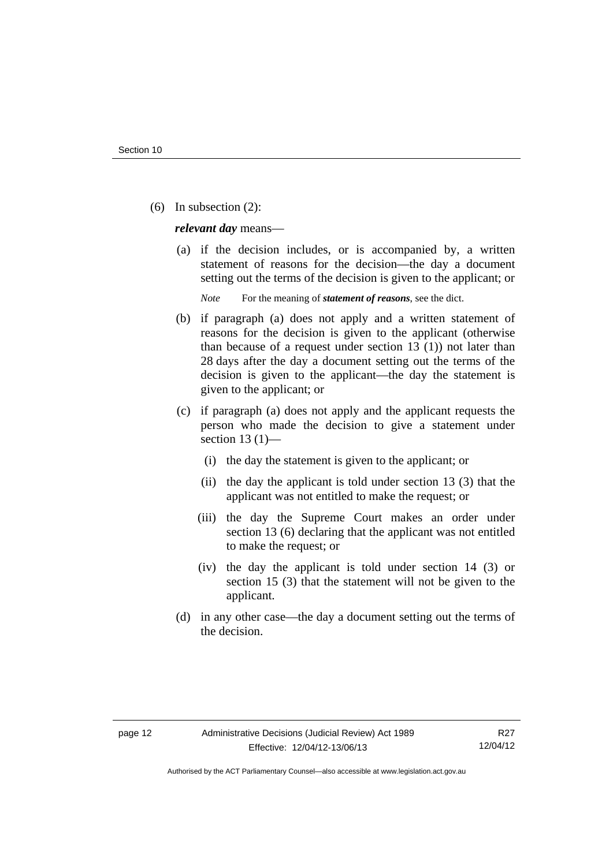(6) In subsection (2):

*relevant day* means—

 (a) if the decision includes, or is accompanied by, a written statement of reasons for the decision—the day a document setting out the terms of the decision is given to the applicant; or

*Note* For the meaning of *statement of reasons*, see the dict.

- (b) if paragraph (a) does not apply and a written statement of reasons for the decision is given to the applicant (otherwise than because of a request under section 13 (1)) not later than 28 days after the day a document setting out the terms of the decision is given to the applicant—the day the statement is given to the applicant; or
- (c) if paragraph (a) does not apply and the applicant requests the person who made the decision to give a statement under section 13 $(1)$ —
	- (i) the day the statement is given to the applicant; or
	- (ii) the day the applicant is told under section 13 (3) that the applicant was not entitled to make the request; or
	- (iii) the day the Supreme Court makes an order under section 13 (6) declaring that the applicant was not entitled to make the request; or
	- (iv) the day the applicant is told under section 14 (3) or section 15 (3) that the statement will not be given to the applicant.
- (d) in any other case—the day a document setting out the terms of the decision.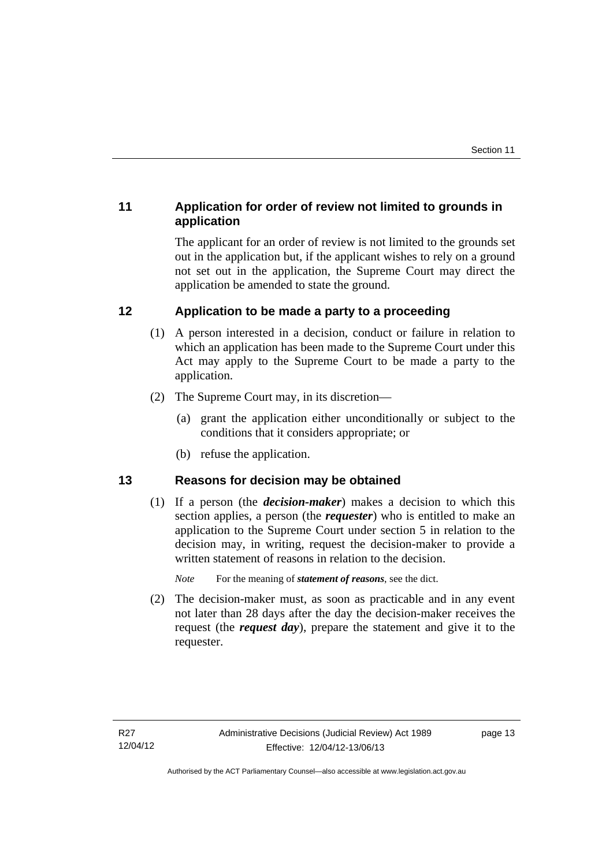# <span id="page-16-0"></span>**11 Application for order of review not limited to grounds in application**

The applicant for an order of review is not limited to the grounds set out in the application but, if the applicant wishes to rely on a ground not set out in the application, the Supreme Court may direct the application be amended to state the ground.

# <span id="page-16-1"></span>**12 Application to be made a party to a proceeding**

- (1) A person interested in a decision, conduct or failure in relation to which an application has been made to the Supreme Court under this Act may apply to the Supreme Court to be made a party to the application.
- (2) The Supreme Court may, in its discretion—
	- (a) grant the application either unconditionally or subject to the conditions that it considers appropriate; or
	- (b) refuse the application.

# <span id="page-16-2"></span>**13 Reasons for decision may be obtained**

(1) If a person (the *decision-maker*) makes a decision to which this section applies, a person (the *requester*) who is entitled to make an application to the Supreme Court under section 5 in relation to the decision may, in writing, request the decision-maker to provide a written statement of reasons in relation to the decision.

*Note* For the meaning of *statement of reasons*, see the dict.

 (2) The decision-maker must, as soon as practicable and in any event not later than 28 days after the day the decision-maker receives the request (the *request day*), prepare the statement and give it to the requester.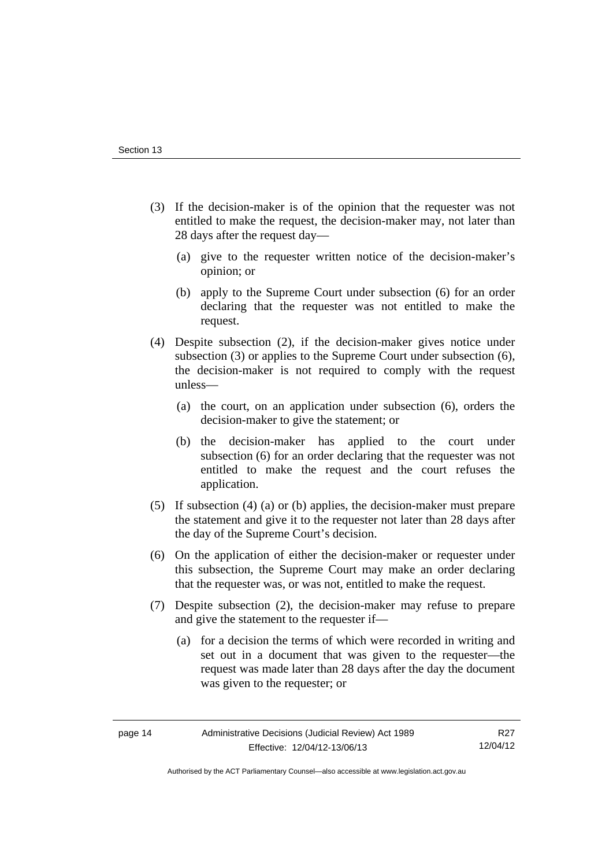- (3) If the decision-maker is of the opinion that the requester was not entitled to make the request, the decision-maker may, not later than 28 days after the request day—
	- (a) give to the requester written notice of the decision-maker's opinion; or
	- (b) apply to the Supreme Court under subsection (6) for an order declaring that the requester was not entitled to make the request.
- (4) Despite subsection (2), if the decision-maker gives notice under subsection (3) or applies to the Supreme Court under subsection (6), the decision-maker is not required to comply with the request unless—
	- (a) the court, on an application under subsection (6), orders the decision-maker to give the statement; or
	- (b) the decision-maker has applied to the court under subsection (6) for an order declaring that the requester was not entitled to make the request and the court refuses the application.
- (5) If subsection (4) (a) or (b) applies, the decision-maker must prepare the statement and give it to the requester not later than 28 days after the day of the Supreme Court's decision.
- (6) On the application of either the decision-maker or requester under this subsection, the Supreme Court may make an order declaring that the requester was, or was not, entitled to make the request.
- (7) Despite subsection (2), the decision-maker may refuse to prepare and give the statement to the requester if—
	- (a) for a decision the terms of which were recorded in writing and set out in a document that was given to the requester—the request was made later than 28 days after the day the document was given to the requester; or

Authorised by the ACT Parliamentary Counsel—also accessible at www.legislation.act.gov.au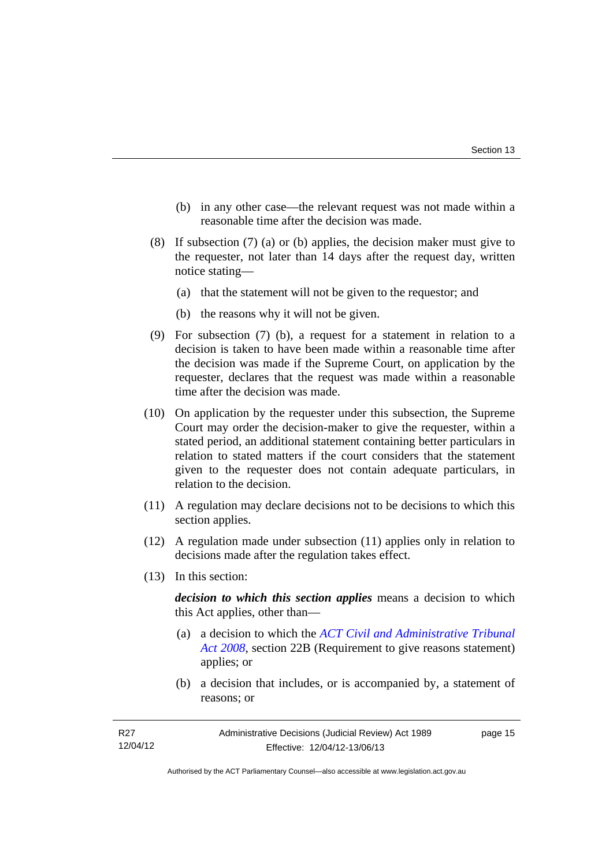- (b) in any other case—the relevant request was not made within a reasonable time after the decision was made.
- (8) If subsection (7) (a) or (b) applies, the decision maker must give to the requester, not later than 14 days after the request day, written notice stating—
	- (a) that the statement will not be given to the requestor; and
	- (b) the reasons why it will not be given.
- (9) For subsection (7) (b), a request for a statement in relation to a decision is taken to have been made within a reasonable time after the decision was made if the Supreme Court, on application by the requester, declares that the request was made within a reasonable time after the decision was made.
- (10) On application by the requester under this subsection, the Supreme Court may order the decision-maker to give the requester, within a stated period, an additional statement containing better particulars in relation to stated matters if the court considers that the statement given to the requester does not contain adequate particulars, in relation to the decision.
- (11) A regulation may declare decisions not to be decisions to which this section applies.
- (12) A regulation made under subsection (11) applies only in relation to decisions made after the regulation takes effect.
- (13) In this section:

*decision to which this section applies* means a decision to which this Act applies, other than—

- (a) a decision to which the *[ACT Civil and Administrative Tribunal](http://www.legislation.act.gov.au/a/2008-35)  [Act 2008](http://www.legislation.act.gov.au/a/2008-35)*, section 22B (Requirement to give reasons statement) applies; or
- (b) a decision that includes, or is accompanied by, a statement of reasons; or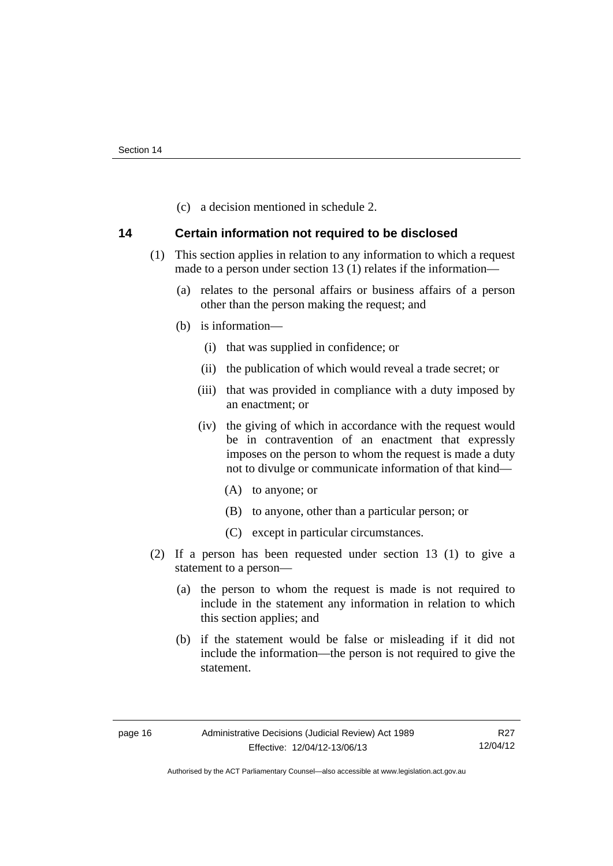(c) a decision mentioned in schedule 2.

## <span id="page-19-0"></span>**14 Certain information not required to be disclosed**

- (1) This section applies in relation to any information to which a request made to a person under section 13 (1) relates if the information—
	- (a) relates to the personal affairs or business affairs of a person other than the person making the request; and
	- (b) is information—
		- (i) that was supplied in confidence; or
		- (ii) the publication of which would reveal a trade secret; or
		- (iii) that was provided in compliance with a duty imposed by an enactment; or
		- (iv) the giving of which in accordance with the request would be in contravention of an enactment that expressly imposes on the person to whom the request is made a duty not to divulge or communicate information of that kind—
			- (A) to anyone; or
			- (B) to anyone, other than a particular person; or
			- (C) except in particular circumstances.
- (2) If a person has been requested under section 13 (1) to give a statement to a person—
	- (a) the person to whom the request is made is not required to include in the statement any information in relation to which this section applies; and
	- (b) if the statement would be false or misleading if it did not include the information—the person is not required to give the statement.

Authorised by the ACT Parliamentary Counsel—also accessible at www.legislation.act.gov.au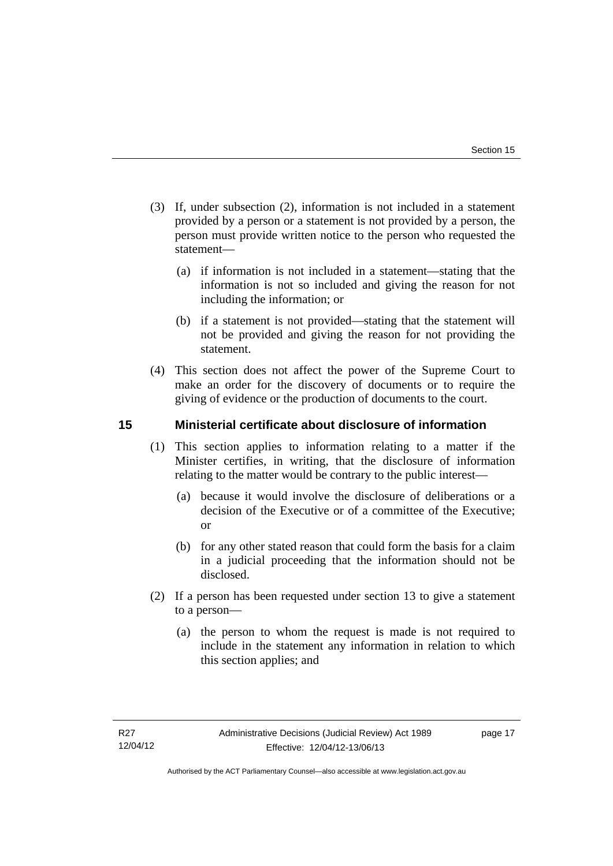- (3) If, under subsection (2), information is not included in a statement provided by a person or a statement is not provided by a person, the person must provide written notice to the person who requested the statement—
	- (a) if information is not included in a statement—stating that the information is not so included and giving the reason for not including the information; or
	- (b) if a statement is not provided—stating that the statement will not be provided and giving the reason for not providing the statement.
- (4) This section does not affect the power of the Supreme Court to make an order for the discovery of documents or to require the giving of evidence or the production of documents to the court.

# <span id="page-20-0"></span>**15 Ministerial certificate about disclosure of information**

- (1) This section applies to information relating to a matter if the Minister certifies, in writing, that the disclosure of information relating to the matter would be contrary to the public interest—
	- (a) because it would involve the disclosure of deliberations or a decision of the Executive or of a committee of the Executive; or
	- (b) for any other stated reason that could form the basis for a claim in a judicial proceeding that the information should not be disclosed.
- (2) If a person has been requested under section 13 to give a statement to a person—
	- (a) the person to whom the request is made is not required to include in the statement any information in relation to which this section applies; and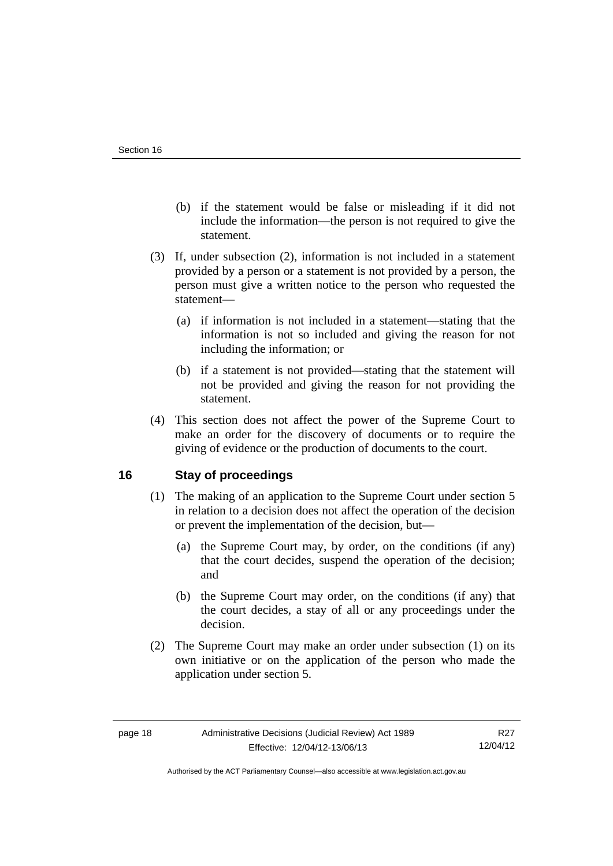- (b) if the statement would be false or misleading if it did not include the information—the person is not required to give the statement.
- (3) If, under subsection (2), information is not included in a statement provided by a person or a statement is not provided by a person, the person must give a written notice to the person who requested the statement—
	- (a) if information is not included in a statement—stating that the information is not so included and giving the reason for not including the information; or
	- (b) if a statement is not provided—stating that the statement will not be provided and giving the reason for not providing the statement.
- (4) This section does not affect the power of the Supreme Court to make an order for the discovery of documents or to require the giving of evidence or the production of documents to the court.

# <span id="page-21-0"></span>**16 Stay of proceedings**

- (1) The making of an application to the Supreme Court under section 5 in relation to a decision does not affect the operation of the decision or prevent the implementation of the decision, but—
	- (a) the Supreme Court may, by order, on the conditions (if any) that the court decides, suspend the operation of the decision; and
	- (b) the Supreme Court may order, on the conditions (if any) that the court decides, a stay of all or any proceedings under the decision.
- (2) The Supreme Court may make an order under subsection (1) on its own initiative or on the application of the person who made the application under section 5.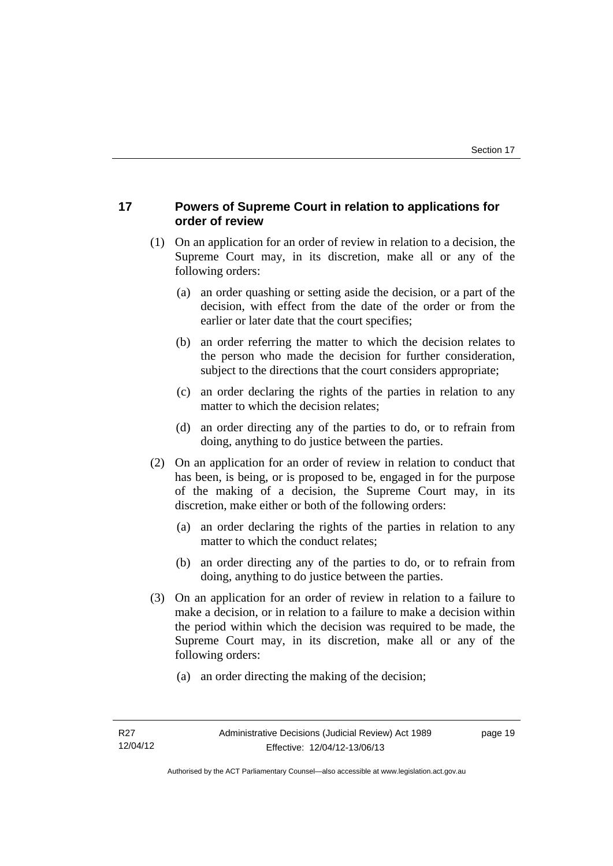# <span id="page-22-0"></span>**17 Powers of Supreme Court in relation to applications for order of review**

- (1) On an application for an order of review in relation to a decision, the Supreme Court may, in its discretion, make all or any of the following orders:
	- (a) an order quashing or setting aside the decision, or a part of the decision, with effect from the date of the order or from the earlier or later date that the court specifies;
	- (b) an order referring the matter to which the decision relates to the person who made the decision for further consideration, subject to the directions that the court considers appropriate;
	- (c) an order declaring the rights of the parties in relation to any matter to which the decision relates;
	- (d) an order directing any of the parties to do, or to refrain from doing, anything to do justice between the parties.
- (2) On an application for an order of review in relation to conduct that has been, is being, or is proposed to be, engaged in for the purpose of the making of a decision, the Supreme Court may, in its discretion, make either or both of the following orders:
	- (a) an order declaring the rights of the parties in relation to any matter to which the conduct relates;
	- (b) an order directing any of the parties to do, or to refrain from doing, anything to do justice between the parties.
- (3) On an application for an order of review in relation to a failure to make a decision, or in relation to a failure to make a decision within the period within which the decision was required to be made, the Supreme Court may, in its discretion, make all or any of the following orders:
	- (a) an order directing the making of the decision;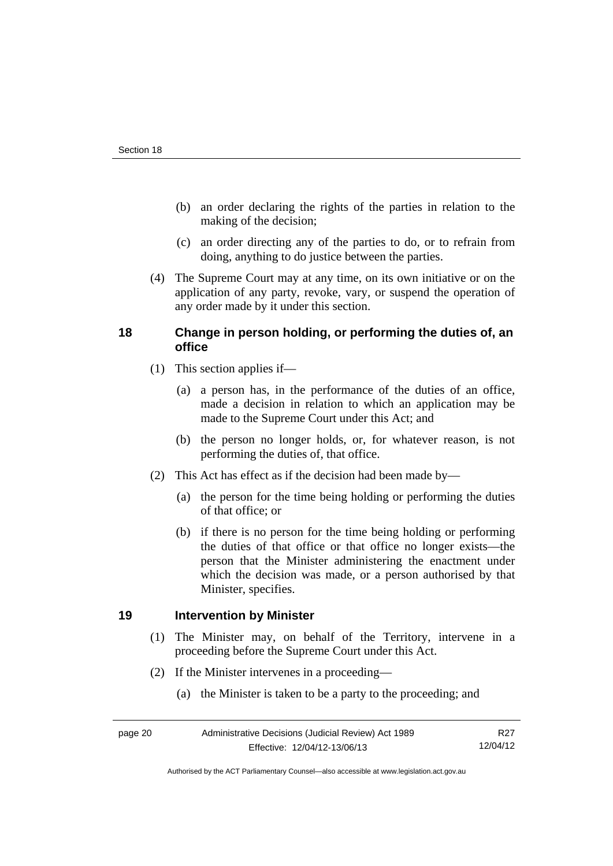- (b) an order declaring the rights of the parties in relation to the making of the decision;
- (c) an order directing any of the parties to do, or to refrain from doing, anything to do justice between the parties.
- (4) The Supreme Court may at any time, on its own initiative or on the application of any party, revoke, vary, or suspend the operation of any order made by it under this section.

# <span id="page-23-0"></span>**18 Change in person holding, or performing the duties of, an office**

- (1) This section applies if—
	- (a) a person has, in the performance of the duties of an office, made a decision in relation to which an application may be made to the Supreme Court under this Act; and
	- (b) the person no longer holds, or, for whatever reason, is not performing the duties of, that office.
- (2) This Act has effect as if the decision had been made by—
	- (a) the person for the time being holding or performing the duties of that office; or
	- (b) if there is no person for the time being holding or performing the duties of that office or that office no longer exists—the person that the Minister administering the enactment under which the decision was made, or a person authorised by that Minister, specifies.

## <span id="page-23-1"></span>**19 Intervention by Minister**

- (1) The Minister may, on behalf of the Territory, intervene in a proceeding before the Supreme Court under this Act.
- (2) If the Minister intervenes in a proceeding—
	- (a) the Minister is taken to be a party to the proceeding; and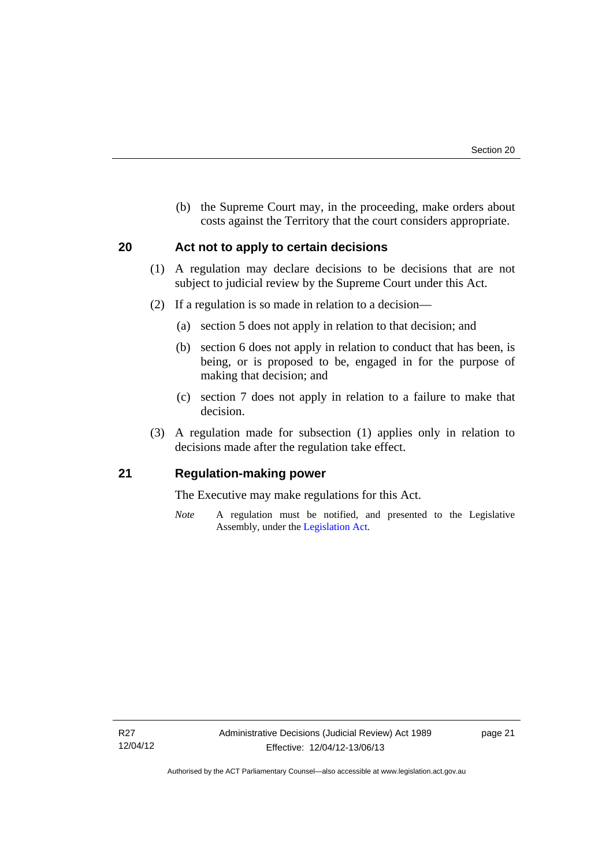(b) the Supreme Court may, in the proceeding, make orders about costs against the Territory that the court considers appropriate.

## <span id="page-24-0"></span>**20 Act not to apply to certain decisions**

- (1) A regulation may declare decisions to be decisions that are not subject to judicial review by the Supreme Court under this Act.
- (2) If a regulation is so made in relation to a decision—
	- (a) section 5 does not apply in relation to that decision; and
	- (b) section 6 does not apply in relation to conduct that has been, is being, or is proposed to be, engaged in for the purpose of making that decision; and
	- (c) section 7 does not apply in relation to a failure to make that decision.
- (3) A regulation made for subsection (1) applies only in relation to decisions made after the regulation take effect.

## <span id="page-24-1"></span>**21 Regulation-making power**

The Executive may make regulations for this Act.

*Note* A regulation must be notified, and presented to the Legislative Assembly, under the [Legislation Act](http://www.legislation.act.gov.au/a/2001-14).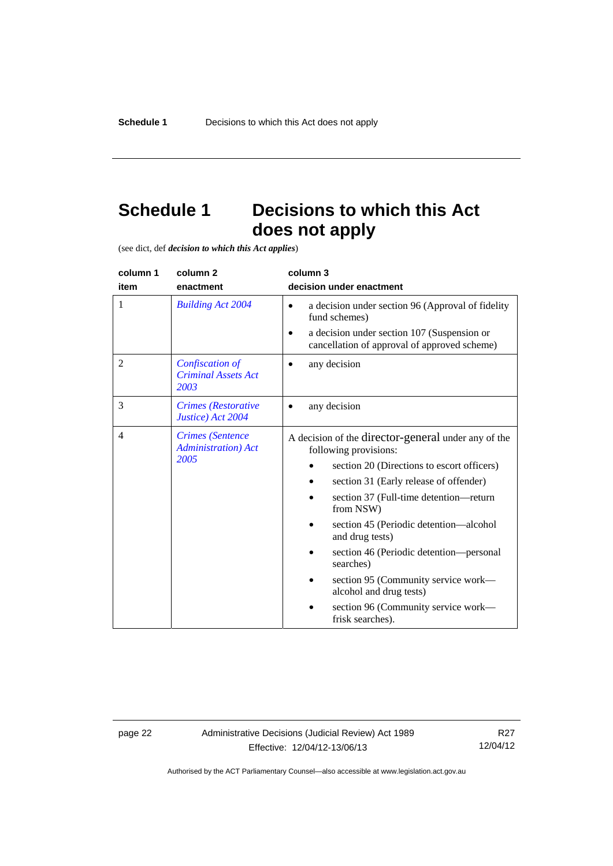# <span id="page-25-0"></span>**Schedule 1 Decisions to which this Act does not apply**

(see dict, def *decision to which this Act applies*)

| column 1<br>item | column <sub>2</sub><br>enactment                               | column 3<br>decision under enactment                                                                                                                                                                                                                                                                                                                                                                                                                                          |
|------------------|----------------------------------------------------------------|-------------------------------------------------------------------------------------------------------------------------------------------------------------------------------------------------------------------------------------------------------------------------------------------------------------------------------------------------------------------------------------------------------------------------------------------------------------------------------|
| 1                | <b>Building Act 2004</b>                                       | a decision under section 96 (Approval of fidelity<br>$\bullet$<br>fund schemes)<br>a decision under section 107 (Suspension or<br>cancellation of approval of approved scheme)                                                                                                                                                                                                                                                                                                |
| $\overline{2}$   | Confiscation of<br><b>Criminal Assets Act</b><br>2003          | any decision                                                                                                                                                                                                                                                                                                                                                                                                                                                                  |
| 3                | <b>Crimes</b> (Restorative<br>Justice) Act 2004                | any decision                                                                                                                                                                                                                                                                                                                                                                                                                                                                  |
| $\overline{4}$   | <b>Crimes</b> (Sentence<br><b>Administration</b> ) Act<br>2005 | A decision of the director-general under any of the<br>following provisions:<br>section 20 (Directions to escort officers)<br>section 31 (Early release of offender)<br>section 37 (Full-time detention—return<br>from NSW)<br>section 45 (Periodic detention—alcohol<br>and drug tests)<br>section 46 (Periodic detention—personal<br>searches)<br>section 95 (Community service work-<br>alcohol and drug tests)<br>section 96 (Community service work—<br>frisk searches). |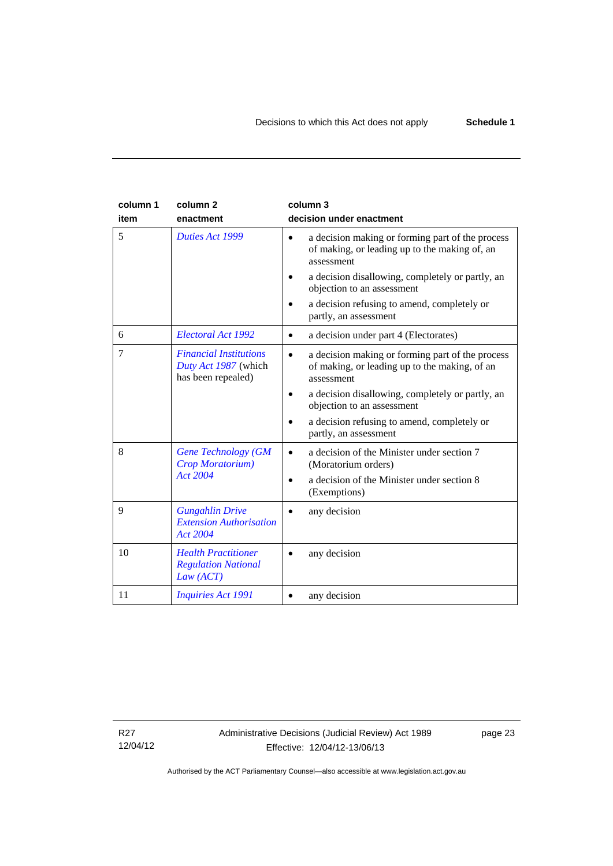| column 1<br>item | column <sub>2</sub><br>enactment                                            | column 3<br>decision under enactment                                                                                                                                                                                                                                                   |
|------------------|-----------------------------------------------------------------------------|----------------------------------------------------------------------------------------------------------------------------------------------------------------------------------------------------------------------------------------------------------------------------------------|
| 5                | Duties Act 1999                                                             | a decision making or forming part of the process<br>$\bullet$<br>of making, or leading up to the making of, an<br>assessment<br>a decision disallowing, completely or partly, an<br>objection to an assessment<br>a decision refusing to amend, completely or<br>partly, an assessment |
| 6                | Electoral Act 1992                                                          | a decision under part 4 (Electorates)<br>$\bullet$                                                                                                                                                                                                                                     |
| 7                | <b>Financial Institutions</b><br>Duty Act 1987 (which<br>has been repealed) | a decision making or forming part of the process<br>$\bullet$<br>of making, or leading up to the making, of an<br>assessment<br>a decision disallowing, completely or partly, an<br>objection to an assessment<br>a decision refusing to amend, completely or<br>partly, an assessment |
| 8                | <b>Gene Technology (GM</b><br>Crop Moratorium)<br><b>Act 2004</b>           | a decision of the Minister under section 7<br>$\bullet$<br>(Moratorium orders)<br>a decision of the Minister under section 8<br>$\bullet$<br>(Exemptions)                                                                                                                              |
| 9                | <b>Gungahlin Drive</b><br><b>Extension Authorisation</b><br>Act 2004        | any decision                                                                                                                                                                                                                                                                           |
| 10               | <b>Health Practitioner</b><br><b>Regulation National</b><br>Law (ACT)       | any decision                                                                                                                                                                                                                                                                           |
| 11               | <b>Inquiries Act 1991</b>                                                   | any decision                                                                                                                                                                                                                                                                           |

R27 12/04/12 page 23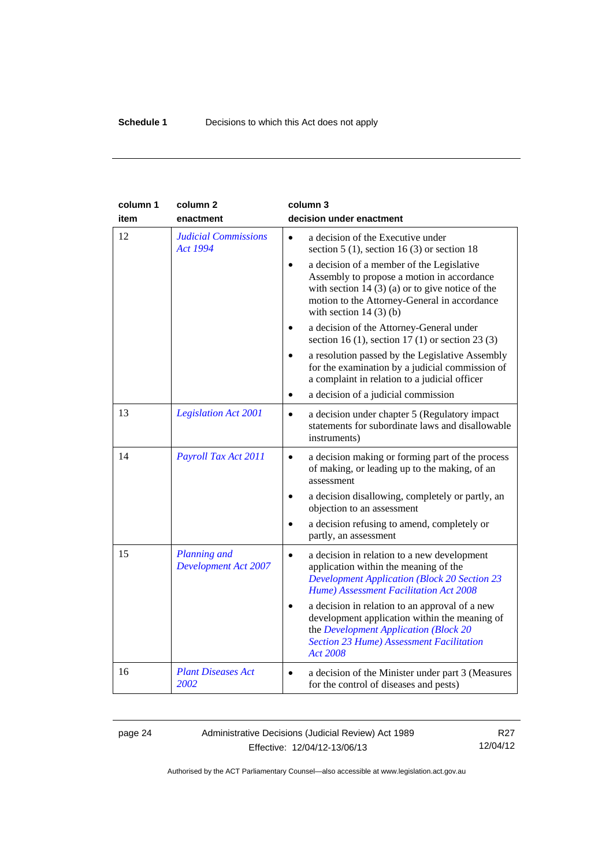| column 1<br>item | column <sub>2</sub><br>enactment                   | column 3<br>decision under enactment                                                                                                                                                                                                  |
|------------------|----------------------------------------------------|---------------------------------------------------------------------------------------------------------------------------------------------------------------------------------------------------------------------------------------|
| 12               | <b>Judicial Commissions</b><br><b>Act 1994</b>     | a decision of the Executive under<br>$\bullet$<br>section 5 (1), section 16 (3) or section 18                                                                                                                                         |
|                  |                                                    | a decision of a member of the Legislative<br>$\bullet$<br>Assembly to propose a motion in accordance<br>with section 14 $(3)$ (a) or to give notice of the<br>motion to the Attorney-General in accordance<br>with section $14(3)(b)$ |
|                  |                                                    | a decision of the Attorney-General under<br>section 16 (1), section 17 (1) or section 23 (3)                                                                                                                                          |
|                  |                                                    | a resolution passed by the Legislative Assembly<br>for the examination by a judicial commission of<br>a complaint in relation to a judicial officer                                                                                   |
|                  |                                                    | a decision of a judicial commission<br>$\bullet$                                                                                                                                                                                      |
| 13               | <b>Legislation Act 2001</b>                        | a decision under chapter 5 (Regulatory impact<br>$\bullet$<br>statements for subordinate laws and disallowable<br>instruments)                                                                                                        |
| 14               | Payroll Tax Act 2011                               | a decision making or forming part of the process<br>$\bullet$<br>of making, or leading up to the making, of an<br>assessment                                                                                                          |
|                  |                                                    | a decision disallowing, completely or partly, an<br>objection to an assessment                                                                                                                                                        |
|                  |                                                    | a decision refusing to amend, completely or<br>partly, an assessment                                                                                                                                                                  |
| 15               | <b>Planning</b> and<br><b>Development Act 2007</b> | a decision in relation to a new development<br>application within the meaning of the<br><b>Development Application (Block 20 Section 23</b><br>Hume) Assessment Facilitation Act 2008                                                 |
|                  |                                                    | a decision in relation to an approval of a new<br>development application within the meaning of<br>the Development Application (Block 20<br><b>Section 23 Hume) Assessment Facilitation</b><br><b>Act 2008</b>                        |
| 16               | <b>Plant Diseases Act</b><br>2002                  | a decision of the Minister under part 3 (Measures<br>$\bullet$<br>for the control of diseases and pests)                                                                                                                              |

page 24 Administrative Decisions (Judicial Review) Act 1989 Effective: 12/04/12-13/06/13

R27 12/04/12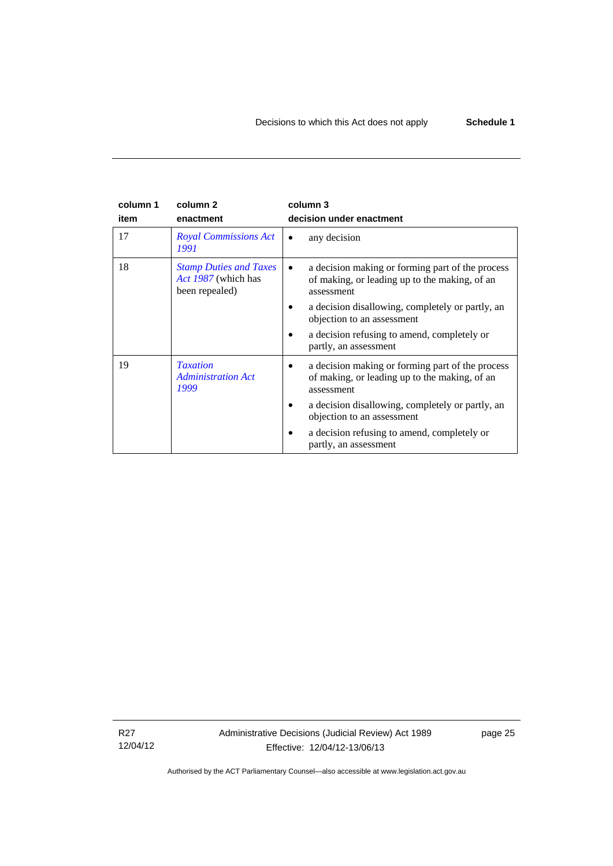#### **column 1 item column 2 enactment column 3 decision under enactment**  17 *[Royal Commissions Act](http://www.legislation.act.gov.au/a/1991-1)  [1991](http://www.legislation.act.gov.au/a/1991-1)* • any decision 18 *[Stamp Duties and Taxes](http://www.legislation.act.gov.au/a/1987-39)  [Act 1987](http://www.legislation.act.gov.au/a/1987-39)* (which has been repealed) • a decision making or forming part of the process of making, or leading up to the making, of an assessment • a decision disallowing, completely or partly, an objection to an assessment • a decision refusing to amend, completely or partly, an assessment 19 *[Taxation](http://www.legislation.act.gov.au/a/1999-4)  [Administration Act](http://www.legislation.act.gov.au/a/1999-4)  [1999](http://www.legislation.act.gov.au/a/1999-4)* • a decision making or forming part of the process of making, or leading up to the making, of an assessment • a decision disallowing, completely or partly, an objection to an assessment • a decision refusing to amend, completely or partly, an assessment

R27 12/04/12 Administrative Decisions (Judicial Review) Act 1989 Effective: 12/04/12-13/06/13

page 25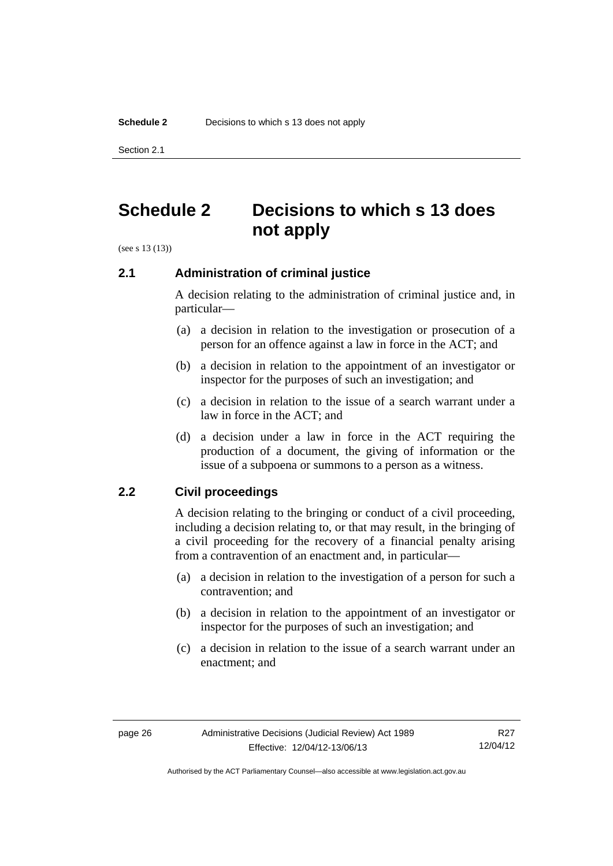Section 2.1

# <span id="page-29-0"></span>**Schedule 2 Decisions to which s 13 does not apply**

(see s 13 (13))

## <span id="page-29-1"></span>**2.1 Administration of criminal justice**

A decision relating to the administration of criminal justice and, in particular—

- (a) a decision in relation to the investigation or prosecution of a person for an offence against a law in force in the ACT; and
- (b) a decision in relation to the appointment of an investigator or inspector for the purposes of such an investigation; and
- (c) a decision in relation to the issue of a search warrant under a law in force in the ACT; and
- (d) a decision under a law in force in the ACT requiring the production of a document, the giving of information or the issue of a subpoena or summons to a person as a witness.

## <span id="page-29-2"></span>**2.2 Civil proceedings**

A decision relating to the bringing or conduct of a civil proceeding, including a decision relating to, or that may result, in the bringing of a civil proceeding for the recovery of a financial penalty arising from a contravention of an enactment and, in particular—

- (a) a decision in relation to the investigation of a person for such a contravention; and
- (b) a decision in relation to the appointment of an investigator or inspector for the purposes of such an investigation; and
- (c) a decision in relation to the issue of a search warrant under an enactment; and

Authorised by the ACT Parliamentary Counsel—also accessible at www.legislation.act.gov.au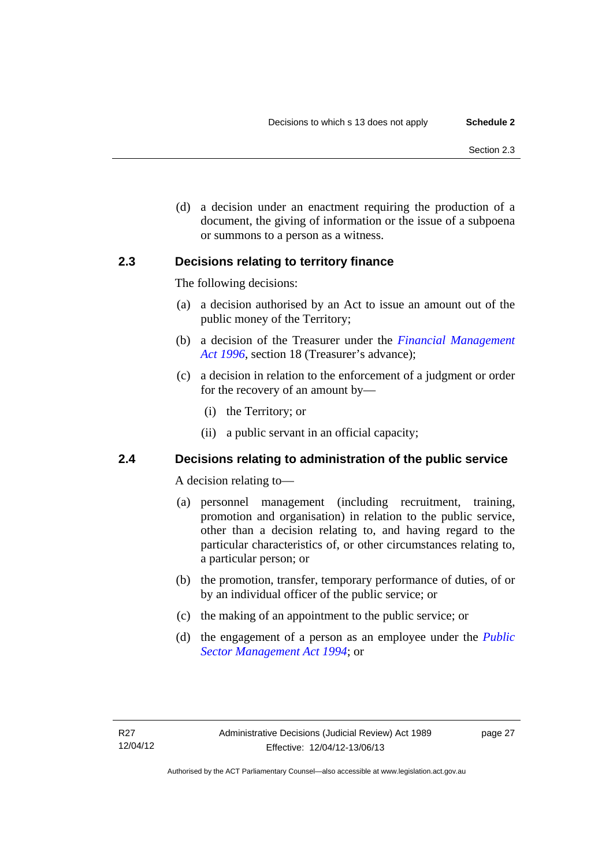(d) a decision under an enactment requiring the production of a document, the giving of information or the issue of a subpoena or summons to a person as a witness.

## <span id="page-30-0"></span>**2.3 Decisions relating to territory finance**

The following decisions:

- (a) a decision authorised by an Act to issue an amount out of the public money of the Territory;
- (b) a decision of the Treasurer under the *[Financial Management](http://www.legislation.act.gov.au/a/1996-22)*  [Act 1996](http://www.legislation.act.gov.au/a/1996-22), section 18 (Treasurer's advance);
- (c) a decision in relation to the enforcement of a judgment or order for the recovery of an amount by—
	- (i) the Territory; or
	- (ii) a public servant in an official capacity;

# <span id="page-30-1"></span>**2.4 Decisions relating to administration of the public service**

A decision relating to—

- (a) personnel management (including recruitment, training, promotion and organisation) in relation to the public service, other than a decision relating to, and having regard to the particular characteristics of, or other circumstances relating to, a particular person; or
- (b) the promotion, transfer, temporary performance of duties, of or by an individual officer of the public service; or
- (c) the making of an appointment to the public service; or
- (d) the engagement of a person as an employee under the *[Public](http://www.legislation.act.gov.au/a/1994-37)  [Sector Management Act 1994](http://www.legislation.act.gov.au/a/1994-37)*; or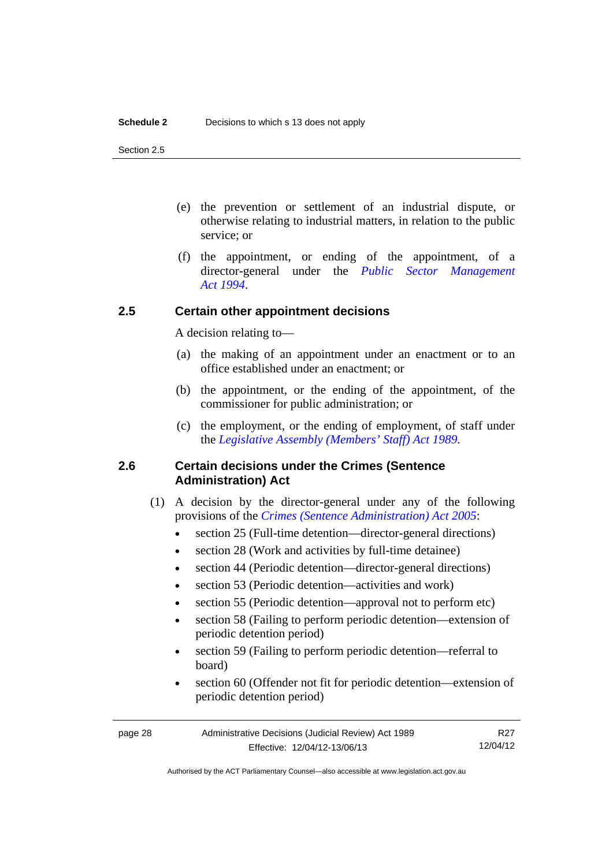Section 2.5

- (e) the prevention or settlement of an industrial dispute, or otherwise relating to industrial matters, in relation to the public service; or
- (f) the appointment, or ending of the appointment, of a director-general under the *[Public Sector Management](http://www.legislation.act.gov.au/a/1994-37)  [Act 1994](http://www.legislation.act.gov.au/a/1994-37)*.

# <span id="page-31-0"></span>**2.5 Certain other appointment decisions**

A decision relating to—

- (a) the making of an appointment under an enactment or to an office established under an enactment; or
- (b) the appointment, or the ending of the appointment, of the commissioner for public administration; or
- (c) the employment, or the ending of employment, of staff under the *[Legislative Assembly \(Members' Staff\) Act 1989](http://www.legislation.act.gov.au/a/1989-19)*.

# <span id="page-31-1"></span>**2.6 Certain decisions under the Crimes (Sentence Administration) Act**

- (1) A decision by the director-general under any of the following provisions of the *[Crimes \(Sentence Administration\) Act 2005](http://www.legislation.act.gov.au/a/2005-59)*:
	- section 25 (Full-time detention—director-general directions)
	- section 28 (Work and activities by full-time detainee)
	- section 44 (Periodic detention—director-general directions)
	- section 53 (Periodic detention—activities and work)
	- section 55 (Periodic detention—approval not to perform etc)
	- section 58 (Failing to perform periodic detention—extension of periodic detention period)
	- section 59 (Failing to perform periodic detention—referral to board)
	- section 60 (Offender not fit for periodic detention—extension of periodic detention period)

R27 12/04/12

Authorised by the ACT Parliamentary Counsel—also accessible at www.legislation.act.gov.au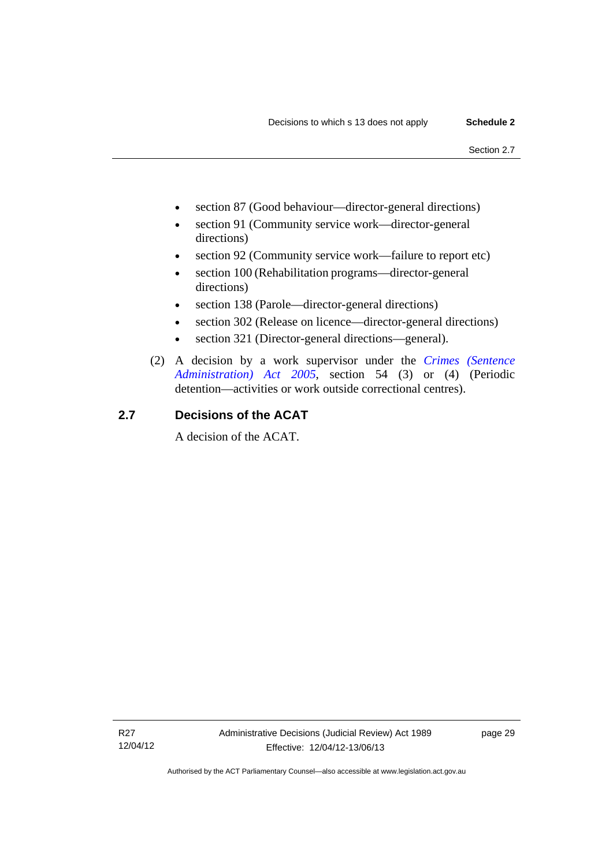- section 87 (Good behaviour—director-general directions)
- section 91 (Community service work—director-general directions)
- section 92 (Community service work—failure to report etc)
- section 100 (Rehabilitation programs—director-general directions)
- section 138 (Parole—director-general directions)
- section 302 (Release on licence—director-general directions)
- section 321 (Director-general directions—general).
- (2) A decision by a work supervisor under the *[Crimes \(Sentence](http://www.legislation.act.gov.au/a/2005-59)  [Administration\) Act 2005](http://www.legislation.act.gov.au/a/2005-59)*, section 54 (3) or (4) (Periodic detention—activities or work outside correctional centres).

# <span id="page-32-0"></span>**2.7 Decisions of the ACAT**

A decision of the ACAT.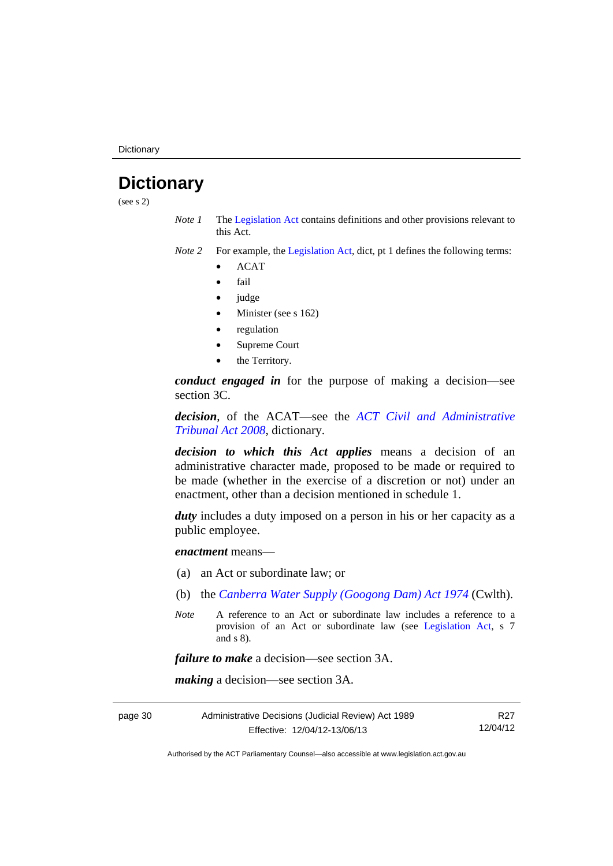**Dictionary** 

# <span id="page-33-0"></span>**Dictionary**

(see s 2)

- *Note 1* The [Legislation Act](http://www.legislation.act.gov.au/a/2001-14) contains definitions and other provisions relevant to this Act.
- *Note 2* For example, the [Legislation Act,](http://www.legislation.act.gov.au/a/2001-14) dict, pt 1 defines the following terms:
	- ACAT
	- fail
	- judge
	- Minister (see s 162)
	- regulation
	- Supreme Court
	- the Territory.

*conduct engaged in* for the purpose of making a decision—see section 3C.

*decision*, of the ACAT—see the *[ACT Civil and Administrative](http://www.legislation.act.gov.au/a/2008-35)  [Tribunal Act 2008](http://www.legislation.act.gov.au/a/2008-35)*, dictionary.

*decision to which this Act applies* means a decision of an administrative character made, proposed to be made or required to be made (whether in the exercise of a discretion or not) under an enactment, other than a decision mentioned in schedule 1.

*duty* includes a duty imposed on a person in his or her capacity as a public employee.

*enactment* means—

- (a) an Act or subordinate law; or
- (b) the *[Canberra Water Supply \(Googong Dam\) Act 1974](http://www.comlaw.gov.au/Details/C2008C00317)* (Cwlth).
- *Note* A reference to an Act or subordinate law includes a reference to a provision of an Act or subordinate law (see [Legislation Act](http://www.legislation.act.gov.au/a/2001-14), s 7 and s 8).

*failure to make* a decision—see section 3A.

*making* a decision—see section 3A.

| page 30 | Administrative Decisions (Judicial Review) Act 1989 |          |
|---------|-----------------------------------------------------|----------|
|         | Effective: 12/04/12-13/06/13                        | 12/04/12 |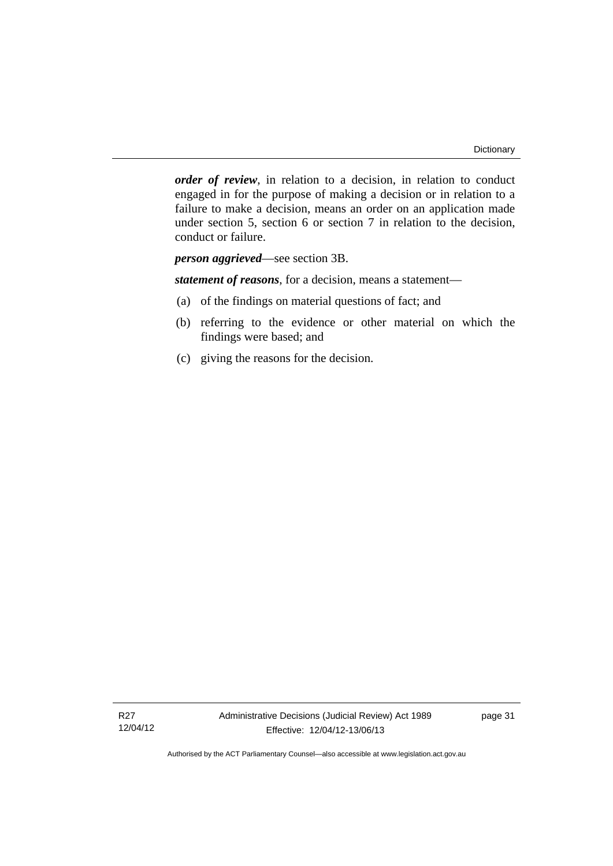*order of review*, in relation to a decision, in relation to conduct engaged in for the purpose of making a decision or in relation to a failure to make a decision, means an order on an application made under section 5, section 6 or section 7 in relation to the decision, conduct or failure.

*person aggrieved*—see section 3B.

*statement of reasons*, for a decision, means a statement—

- (a) of the findings on material questions of fact; and
- (b) referring to the evidence or other material on which the findings were based; and
- (c) giving the reasons for the decision.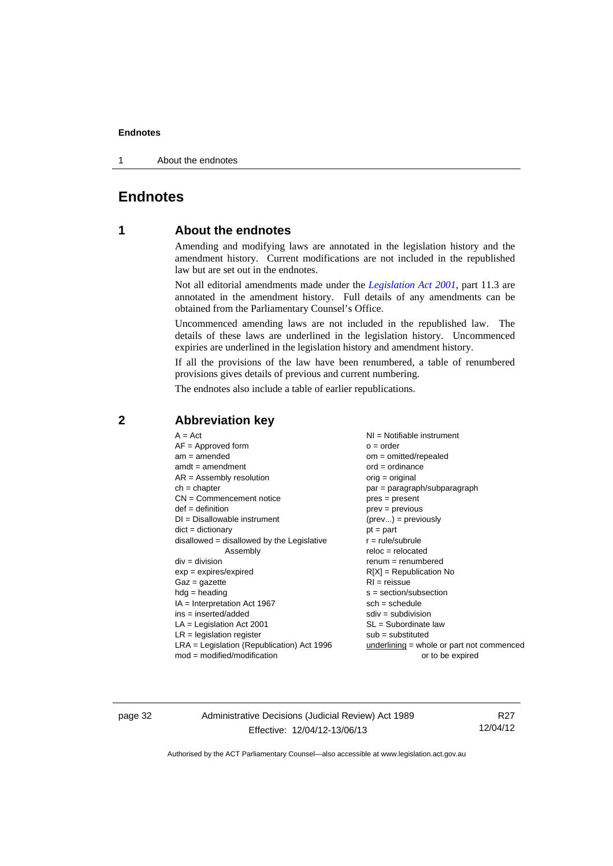1 About the endnotes

# <span id="page-35-1"></span><span id="page-35-0"></span>**Endnotes**

## **1 About the endnotes**

Amending and modifying laws are annotated in the legislation history and the amendment history. Current modifications are not included in the republished law but are set out in the endnotes.

Not all editorial amendments made under the *[Legislation Act 2001](http://www.legislation.act.gov.au/a/2001-14)*, part 11.3 are annotated in the amendment history. Full details of any amendments can be obtained from the Parliamentary Counsel's Office.

Uncommenced amending laws are not included in the republished law. The details of these laws are underlined in the legislation history. Uncommenced expiries are underlined in the legislation history and amendment history.

If all the provisions of the law have been renumbered, a table of renumbered provisions gives details of previous and current numbering.

The endnotes also include a table of earlier republications.

| $A = Act$                                    | $NI = Notifiable$ instrument                |
|----------------------------------------------|---------------------------------------------|
| $AF =$ Approved form                         | $o = order$                                 |
| $am = amended$                               | $om = omitted/repealed$                     |
| $amdt = amendment$                           | $ord = ordinance$                           |
| $AR = Assembly resolution$                   | $orig = original$                           |
| $ch = chapter$                               | par = paragraph/subparagraph                |
| $CN =$ Commencement notice                   | $pres = present$                            |
| $def = definition$                           | $prev = previous$                           |
| $DI = Disallowable instrument$               | $(\text{prev}) = \text{previously}$         |
| $dict = dictionary$                          | $pt = part$                                 |
| disallowed = disallowed by the Legislative   | $r = rule/subrule$                          |
| Assembly                                     | $reloc = relocated$                         |
| $div = division$                             | $renum = renumbered$                        |
| $exp = expires/expired$                      | $R[X]$ = Republication No                   |
| $Gaz = gazette$                              | $RI = reissue$                              |
| $hdg =$ heading                              | $s = section/subsection$                    |
| $IA = Interpretation Act 1967$               | $sch = schedule$                            |
| $ins = inserted/added$                       | $sdiv = subdivision$                        |
| $LA =$ Legislation Act 2001                  | $SL = Subordinate$ law                      |
| $LR =$ legislation register                  | $sub =$ substituted                         |
| $LRA =$ Legislation (Republication) Act 1996 | $underlining = whole or part not commenced$ |
| $mod = modified/modification$                | or to be expired                            |
|                                              |                                             |

## <span id="page-35-2"></span>**2 Abbreviation key**

page 32 Administrative Decisions (Judicial Review) Act 1989 Effective: 12/04/12-13/06/13

R27 12/04/12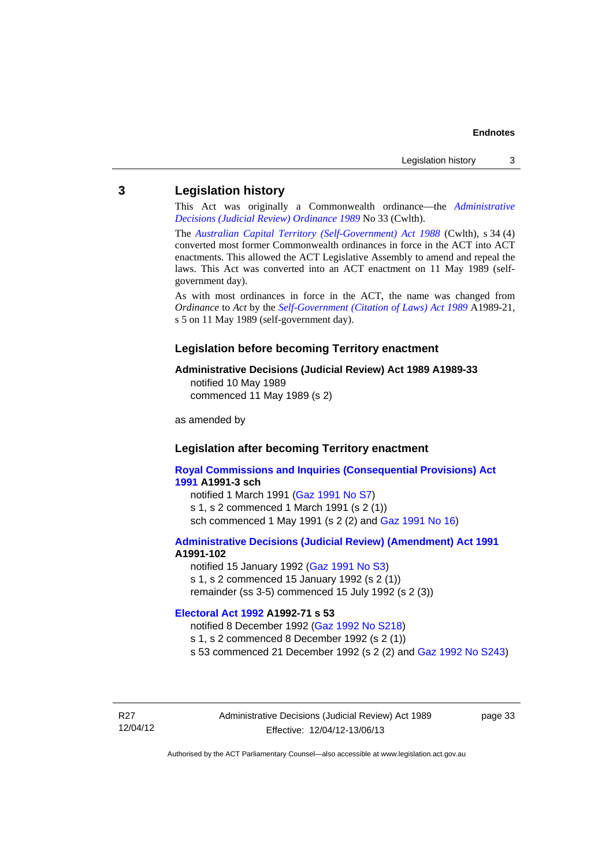## <span id="page-36-0"></span>**3 Legislation history**

This Act was originally a Commonwealth ordinance—the *[Administrative](http://www.legislation.act.gov.au/a/alt_a1989-33co)  [Decisions \(Judicial Review\) Ordinance 1989](http://www.legislation.act.gov.au/a/alt_a1989-33co)* No 33 (Cwlth).

The *[Australian Capital Territory \(Self-Government\) Act 1988](http://www.comlaw.gov.au/Current/C2004A03699)* (Cwlth), s 34 (4) converted most former Commonwealth ordinances in force in the ACT into ACT enactments. This allowed the ACT Legislative Assembly to amend and repeal the laws. This Act was converted into an ACT enactment on 11 May 1989 (selfgovernment day).

As with most ordinances in force in the ACT, the name was changed from *Ordinance* to *Act* by the *[Self-Government \(Citation of Laws\) Act 1989](http://www.legislation.act.gov.au/a/alt_ord1989-21/default.asp)* A1989-21, s 5 on 11 May 1989 (self-government day).

#### **Legislation before becoming Territory enactment**

#### **Administrative Decisions (Judicial Review) Act 1989 A1989-33**

notified 10 May 1989 commenced 11 May 1989 (s 2)

as amended by

## **Legislation after becoming Territory enactment**

**[Royal Commissions and Inquiries \(Consequential Provisions\) Act](http://www.legislation.act.gov.au/a/1991-3)  [1991](http://www.legislation.act.gov.au/a/1991-3) A1991-3 sch**  notified 1 March 1991 [\(Gaz 1991 No S7](http://www.legislation.act.gov.au/gaz/1991-S7/default.asp)) s 1, s 2 commenced 1 March 1991 (s 2 (1))

sch commenced 1 May 1991 (s 2 (2) and [Gaz 1991 No 16](http://www.legislation.act.gov.au/gaz/1991-16/default.asp))

#### **[Administrative Decisions \(Judicial Review\) \(Amendment\) Act 1991](http://www.legislation.act.gov.au/a/1991-102) A1991-102**

notified 15 January 1992 ([Gaz 1991 No S3\)](http://www.legislation.act.gov.au/gaz/1991-S3/default.asp) s 1, s 2 commenced 15 January 1992 (s 2 (1)) remainder (ss 3-5) commenced 15 July 1992 (s 2 (3))

#### **[Electoral Act 1992](http://www.legislation.act.gov.au/a/1992-71) A1992-71 s 53**

notified 8 December 1992 ([Gaz 1992 No S218\)](http://www.legislation.act.gov.au/gaz/1992-S218/default.asp) s 1, s 2 commenced 8 December 1992 (s 2 (1)) s 53 commenced 21 December 1992 (s 2 (2) and [Gaz 1992 No S243\)](http://www.legislation.act.gov.au/gaz/1992-S243/default.asp)

R27 12/04/12 page 33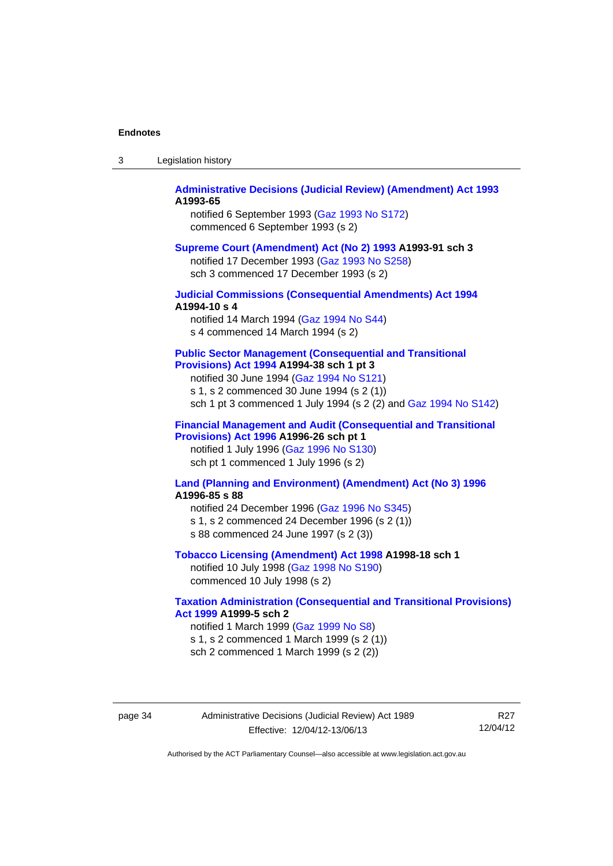| Legislation history<br>-3 |  |
|---------------------------|--|
|---------------------------|--|

## **[Administrative Decisions \(Judicial Review\) \(Amendment\) Act 1993](http://www.legislation.act.gov.au/a/1993-65) A1993-65**

notified 6 September 1993 [\(Gaz 1993 No S172\)](http://www.legislation.act.gov.au/gaz/1993-S172/default.asp) commenced 6 September 1993 (s 2)

#### **[Supreme Court \(Amendment\) Act \(No 2\) 1993](http://www.legislation.act.gov.au/a/1993-91) A1993-91 sch 3**

notified 17 December 1993 [\(Gaz 1993 No S258](http://www.legislation.act.gov.au/gaz/1993-S258/default.asp)) sch 3 commenced 17 December 1993 (s 2)

## **[Judicial Commissions \(Consequential Amendments\) Act 1994](http://www.legislation.act.gov.au/a/1994-10) A1994-10 s 4**

notified 14 March 1994 ([Gaz 1994 No S44](http://www.legislation.act.gov.au/gaz/1994-S44/default.asp)) s 4 commenced 14 March 1994 (s 2)

#### **[Public Sector Management \(Consequential and Transitional](http://www.legislation.act.gov.au/a/1994-38)  [Provisions\) Act 1994](http://www.legislation.act.gov.au/a/1994-38) A1994-38 sch 1 pt 3**

notified 30 June 1994 ([Gaz 1994 No S121\)](http://www.legislation.act.gov.au/gaz/1994-S121/default.asp)

s 1, s 2 commenced 30 June 1994 (s 2 (1))

sch 1 pt 3 commenced 1 July 1994 (s 2 (2) and [Gaz 1994 No S142](http://www.legislation.act.gov.au/gaz/1994-S142/default.asp))

## **[Financial Management and Audit \(Consequential and Transitional](http://www.legislation.act.gov.au/a/1996-26)  [Provisions\) Act 1996](http://www.legislation.act.gov.au/a/1996-26) A1996-26 sch pt 1**

notified 1 July 1996 [\(Gaz 1996 No S130](http://www.legislation.act.gov.au/gaz/1996-S130/default.asp)) sch pt 1 commenced 1 July 1996 (s 2)

### **[Land \(Planning and Environment\) \(Amendment\) Act \(No 3\) 1996](http://www.legislation.act.gov.au/a/1996-85) A1996-85 s 88**

notified 24 December 1996 [\(Gaz 1996 No S345](http://www.legislation.act.gov.au/gaz/1996-S345/default.asp)) s 1, s 2 commenced 24 December 1996 (s 2 (1)) s 88 commenced 24 June 1997 (s 2 (3))

#### **[Tobacco Licensing \(Amendment\) Act 1998](http://www.legislation.act.gov.au/a/1998-18) A1998-18 sch 1**

notified 10 July 1998 ([Gaz 1998 No S190\)](http://www.legislation.act.gov.au/gaz/1998-S190/default.asp) commenced 10 July 1998 (s 2)

## **[Taxation Administration \(Consequential and Transitional Provisions\)](http://www.legislation.act.gov.au/a/1999-5)  [Act 1999](http://www.legislation.act.gov.au/a/1999-5) A1999-5 sch 2**

notified 1 March 1999 [\(Gaz 1999 No S8](http://www.legislation.act.gov.au/gaz/1999-S8/default.asp)) s 1, s 2 commenced 1 March 1999 (s 2 (1)) sch 2 commenced 1 March 1999 (s 2 (2))

page 34 Administrative Decisions (Judicial Review) Act 1989 Effective: 12/04/12-13/06/13

R27 12/04/12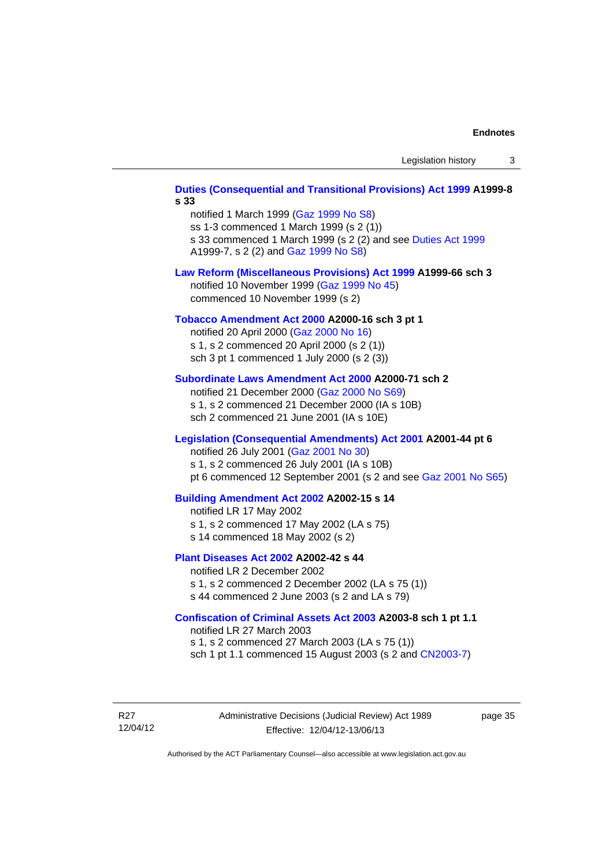# **[Duties \(Consequential and Transitional Provisions\) Act 1999](http://www.legislation.act.gov.au/a/1999-8) A1999-8 s 33**  notified 1 March 1999 [\(Gaz 1999 No S8](http://www.legislation.act.gov.au/gaz/1999-S8/default.asp)) ss 1-3 commenced 1 March 1999 (s 2 (1)) s 33 commenced 1 March 1999 (s 2 (2) and see [Duties Act 1999](http://www.legislation.act.gov.au/a/1999-7) A1999-7, s 2 (2) and [Gaz 1999 No S8\)](http://www.legislation.act.gov.au/gaz/1999-S8/default.asp) **[Law Reform \(Miscellaneous Provisions\) Act 1999](http://www.legislation.act.gov.au/a/1999-66) A1999-66 sch 3**  notified 10 November 1999 [\(Gaz 1999 No 45](http://www.legislation.act.gov.au/gaz/1999-45/default.asp)) commenced 10 November 1999 (s 2) **[Tobacco Amendment Act 2000](http://www.legislation.act.gov.au/a/2000-16) A2000-16 sch 3 pt 1**  notified 20 April 2000 [\(Gaz 2000 No 16\)](http://www.legislation.act.gov.au/gaz/2000-16/default.asp) s 1, s 2 commenced 20 April 2000 (s 2 (1)) sch 3 pt 1 commenced 1 July 2000 (s 2 (3)) **[Subordinate Laws Amendment Act 2000](http://www.legislation.act.gov.au/a/2000-71) A2000-71 sch 2**  notified 21 December 2000 [\(Gaz 2000 No S69\)](http://www.legislation.act.gov.au/gaz/2000-S69/default.asp) s 1, s 2 commenced 21 December 2000 (IA s 10B) sch 2 commenced 21 June 2001 (IA s 10E) **[Legislation \(Consequential Amendments\) Act 2001](http://www.legislation.act.gov.au/a/2001-44) A2001-44 pt 6**  notified 26 July 2001 ([Gaz 2001 No 30\)](http://www.legislation.act.gov.au/gaz/2001-30/default.asp) s 1, s 2 commenced 26 July 2001 (IA s 10B) pt 6 commenced 12 September 2001 (s 2 and see [Gaz 2001 No S65\)](http://www.legislation.act.gov.au/gaz/2001-S65/default.asp) **[Building Amendment Act 2002](http://www.legislation.act.gov.au/a/2002-15) A2002-15 s 14**  notified LR 17 May 2002 s 1, s 2 commenced 17 May 2002 (LA s 75) s 14 commenced 18 May 2002 (s 2) **[Plant Diseases Act 2002](http://www.legislation.act.gov.au/a/2002-42) A2002-42 s 44**  notified LR 2 December 2002 s 1, s 2 commenced 2 December 2002 (LA s 75 (1)) s 44 commenced 2 June 2003 (s 2 and LA s 79) **[Confiscation of Criminal Assets Act 2003](http://www.legislation.act.gov.au/a/2003-8) A2003-8 sch 1 pt 1.1**  notified LR 27 March 2003 s 1, s 2 commenced 27 March 2003 (LA s 75 (1)) sch 1 pt 1.1 commenced 15 August 2003 (s 2 and [CN2003-7](http://www.legislation.act.gov.au/cn/2003-7/default.asp))

R27 12/04/12 Administrative Decisions (Judicial Review) Act 1989 Effective: 12/04/12-13/06/13

page 35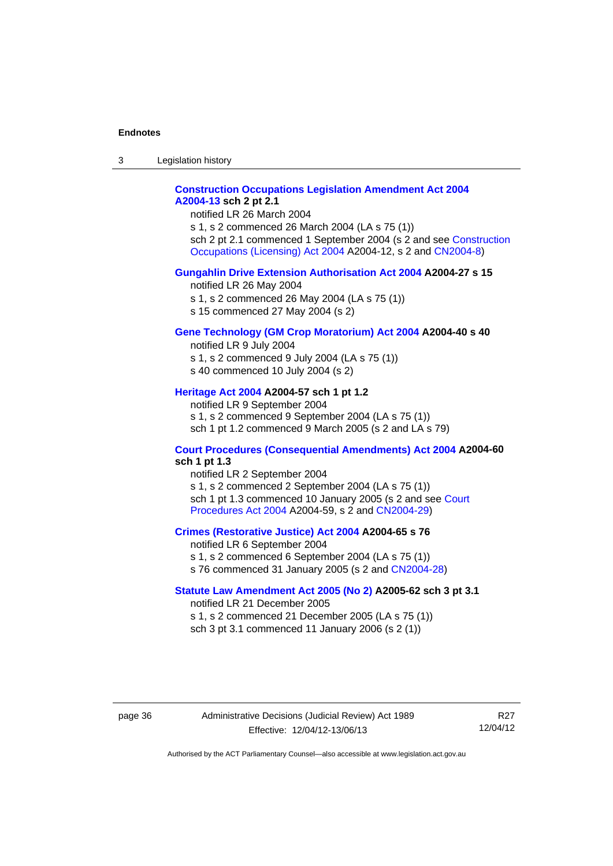3 Legislation history

## **[Construction Occupations Legislation Amendment Act 2004](http://www.legislation.act.gov.au/a/2004-13)  [A2004-13](http://www.legislation.act.gov.au/a/2004-13) sch 2 pt 2.1**

notified LR 26 March 2004

s 1, s 2 commenced 26 March 2004 (LA s 75 (1)) sch 2 pt 2.1 commenced 1 September 2004 (s 2 and see [Construction](http://www.legislation.act.gov.au/a/2004-12)  [Occupations \(Licensing\) Act 2004](http://www.legislation.act.gov.au/a/2004-12) A2004-12, s 2 and [CN2004-8\)](http://www.legislation.act.gov.au/cn/2004-8/default.asp)

## **[Gungahlin Drive Extension Authorisation Act 2004](http://www.legislation.act.gov.au/a/2004-27) A2004-27 s 15**

notified LR 26 May 2004

- s 1, s 2 commenced 26 May 2004 (LA s 75 (1))
- s 15 commenced 27 May 2004 (s 2)

## **[Gene Technology \(GM Crop Moratorium\) Act 2004](http://www.legislation.act.gov.au/a/2004-40) A2004-40 s 40**

notified LR 9 July 2004

- s 1, s 2 commenced 9 July 2004 (LA s 75 (1))
- s 40 commenced 10 July 2004 (s 2)

## **[Heritage Act 2004](http://www.legislation.act.gov.au/a/2004-57) A2004-57 sch 1 pt 1.2**

notified LR 9 September 2004 s 1, s 2 commenced 9 September 2004 (LA s 75 (1)) sch 1 pt 1.2 commenced 9 March 2005 (s 2 and LA s 79)

### **[Court Procedures \(Consequential Amendments\) Act 2004](http://www.legislation.act.gov.au/a/2004-60) A2004-60 sch 1 pt 1.3**

notified LR 2 September 2004 s 1, s 2 commenced 2 September 2004 (LA s 75 (1)) sch 1 pt 1.3 commenced 10 January 2005 (s 2 and see [Court](http://www.legislation.act.gov.au/a/2004-59)  [Procedures Act 2004](http://www.legislation.act.gov.au/a/2004-59) A2004-59, s 2 and [CN2004-29\)](http://www.legislation.act.gov.au/cn/2004-29/default.asp)

#### **[Crimes \(Restorative Justice\) Act 2004](http://www.legislation.act.gov.au/a/2004-65) A2004-65 s 76**

notified LR 6 September 2004 s 1, s 2 commenced 6 September 2004 (LA s 75 (1)) s 76 commenced 31 January 2005 (s 2 and [CN2004-28](http://www.legislation.act.gov.au/cn/2004-28/default.asp))

### **[Statute Law Amendment Act 2005 \(No 2\)](http://www.legislation.act.gov.au/a/2005-62) A2005-62 sch 3 pt 3.1**

notified LR 21 December 2005 s 1, s 2 commenced 21 December 2005 (LA s 75 (1)) sch 3 pt 3.1 commenced 11 January 2006 (s 2 (1))

page 36 Administrative Decisions (Judicial Review) Act 1989 Effective: 12/04/12-13/06/13

R27 12/04/12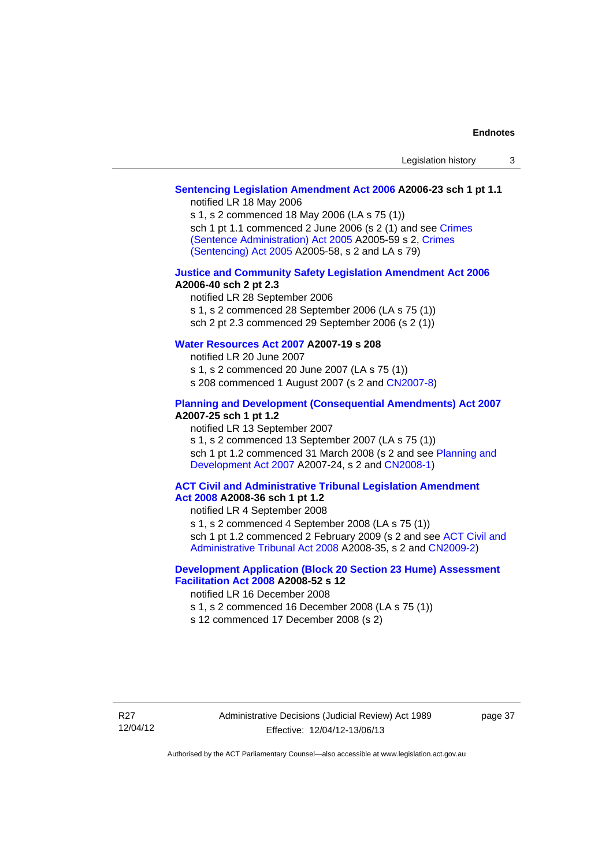## **[Sentencing Legislation Amendment Act 2006](http://www.legislation.act.gov.au/a/2006-23) A2006-23 sch 1 pt 1.1**

notified LR 18 May 2006

s 1, s 2 commenced 18 May 2006 (LA s 75 (1)) sch 1 pt 1.1 commenced 2 June 2006 (s 2 (1) and see [Crimes](http://www.legislation.act.gov.au/a/2005-59)  [\(Sentence Administration\) Act 2005](http://www.legislation.act.gov.au/a/2005-59) A2005-59 s 2, [Crimes](http://www.legislation.act.gov.au/a/2005-58)  [\(Sentencing\) Act 2005](http://www.legislation.act.gov.au/a/2005-58) A2005-58, s 2 and LA s 79)

#### **[Justice and Community Safety Legislation Amendment Act 2006](http://www.legislation.act.gov.au/a/2006-40) A2006-40 sch 2 pt 2.3**

notified LR 28 September 2006 s 1, s 2 commenced 28 September 2006 (LA s 75 (1)) sch 2 pt 2.3 commenced 29 September 2006 (s 2 (1))

## **[Water Resources Act 2007](http://www.legislation.act.gov.au/a/2007-19) A2007-19 s 208**

notified LR 20 June 2007 s 1, s 2 commenced 20 June 2007 (LA s 75 (1)) s 208 commenced 1 August 2007 (s 2 and [CN2007-8](http://www.legislation.act.gov.au/cn/2007-8/default.asp))

### **[Planning and Development \(Consequential Amendments\) Act 2007](http://www.legislation.act.gov.au/a/2007-25) A2007-25 sch 1 pt 1.2**

notified LR 13 September 2007

s 1, s 2 commenced 13 September 2007 (LA s 75 (1)) sch 1 pt 1.2 commenced 31 March 2008 (s 2 and see Planning and [Development Act 2007](http://www.legislation.act.gov.au/a/2007-24) A2007-24, s 2 and [CN2008-1](http://www.legislation.act.gov.au/cn/2008-1/default.asp))

### **[ACT Civil and Administrative Tribunal Legislation Amendment](http://www.legislation.act.gov.au/a/2008-36)  [Act 2008](http://www.legislation.act.gov.au/a/2008-36) A2008-36 sch 1 pt 1.2**

notified LR 4 September 2008

s 1, s 2 commenced 4 September 2008 (LA s 75 (1))

sch 1 pt 1.2 commenced 2 February 2009 (s 2 and see [ACT Civil and](http://www.legislation.act.gov.au/a/2008-35)  [Administrative Tribunal Act 2008](http://www.legislation.act.gov.au/a/2008-35) A2008-35, s 2 and [CN2009-2\)](http://www.legislation.act.gov.au/cn/2009-2/default.asp)

## **[Development Application \(Block 20 Section 23 Hume\) Assessment](http://www.legislation.act.gov.au/a/2008-52)  [Facilitation Act 2008](http://www.legislation.act.gov.au/a/2008-52) A2008-52 s 12**

notified LR 16 December 2008

s 1, s 2 commenced 16 December 2008 (LA s 75 (1))

s 12 commenced 17 December 2008 (s 2)

page 37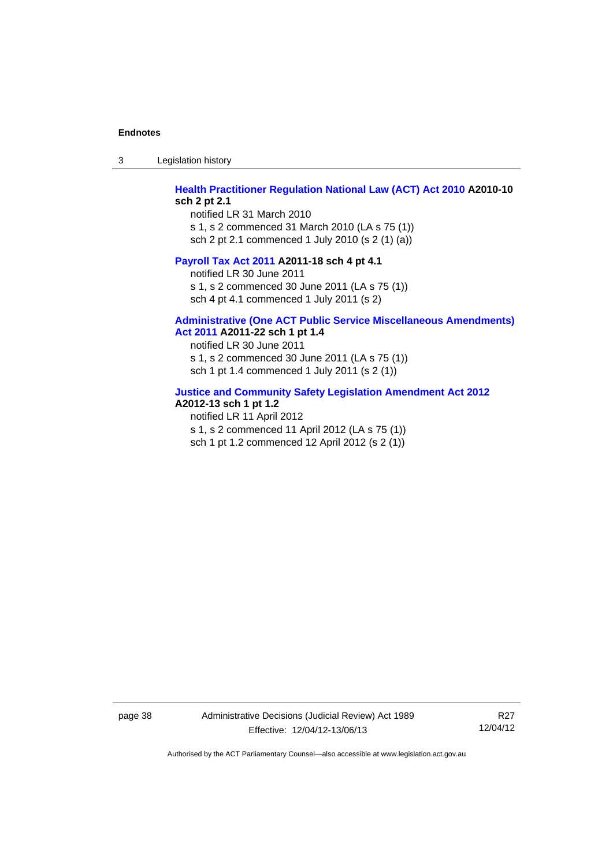3 Legislation history

## **[Health Practitioner Regulation National Law \(ACT\) Act 2010](http://www.legislation.act.gov.au/a/2010-10) A2010-10 sch 2 pt 2.1**

notified LR 31 March 2010 s 1, s 2 commenced 31 March 2010 (LA s 75 (1)) sch 2 pt 2.1 commenced 1 July 2010 (s 2 (1) (a))

### **[Payroll Tax Act 2011](http://www.legislation.act.gov.au/a/2011-18) A2011-18 sch 4 pt 4.1**

notified LR 30 June 2011 s 1, s 2 commenced 30 June 2011 (LA s 75 (1)) sch 4 pt 4.1 commenced 1 July 2011 (s 2)

## **[Administrative \(One ACT Public Service Miscellaneous Amendments\)](http://www.legislation.act.gov.au/a/2011-22)**

**[Act 2011](http://www.legislation.act.gov.au/a/2011-22) A2011-22 sch 1 pt 1.4** 

notified LR 30 June 2011 s 1, s 2 commenced 30 June 2011 (LA s 75 (1)) sch 1 pt 1.4 commenced 1 July 2011 (s 2 (1))

### **[Justice and Community Safety Legislation Amendment Act 2012](http://www.legislation.act.gov.au/a/2012-13)**

## **A2012-13 sch 1 pt 1.2**

notified LR 11 April 2012 s 1, s 2 commenced 11 April 2012 (LA s 75 (1)) sch 1 pt 1.2 commenced 12 April 2012 (s 2 (1))

page 38 Administrative Decisions (Judicial Review) Act 1989 Effective: 12/04/12-13/06/13

R27 12/04/12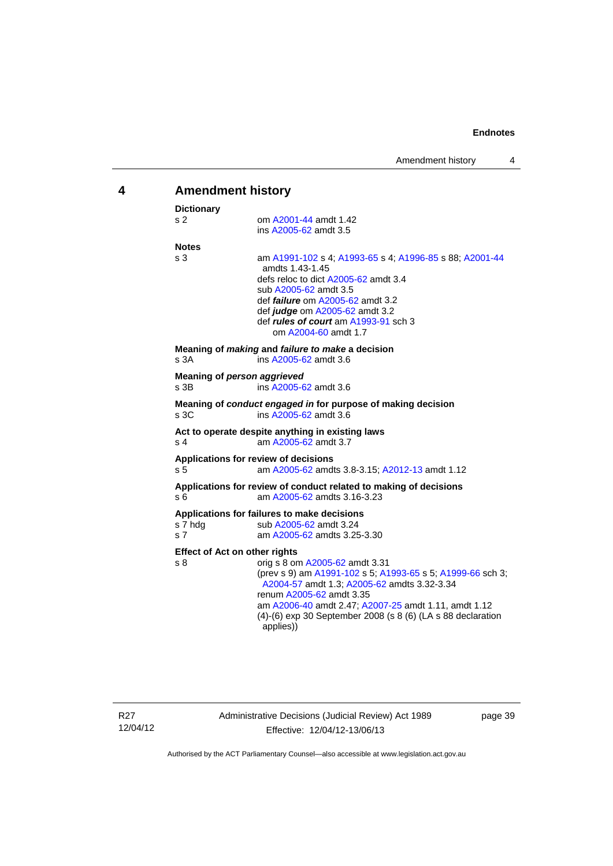<span id="page-42-0"></span>

| 4 | <b>Amendment history</b>                                                      |                                                                                                                                                                                                                                                                                          |  |  |  |
|---|-------------------------------------------------------------------------------|------------------------------------------------------------------------------------------------------------------------------------------------------------------------------------------------------------------------------------------------------------------------------------------|--|--|--|
|   | <b>Dictionary</b>                                                             |                                                                                                                                                                                                                                                                                          |  |  |  |
|   | s 2                                                                           | om A2001-44 amdt 1.42<br>ins A2005-62 amdt 3.5                                                                                                                                                                                                                                           |  |  |  |
|   | <b>Notes</b>                                                                  |                                                                                                                                                                                                                                                                                          |  |  |  |
|   | s <sub>3</sub>                                                                | am A1991-102 s 4; A1993-65 s 4; A1996-85 s 88; A2001-44<br>amdts 1.43-1.45<br>defs reloc to dict A2005-62 amdt 3.4<br>sub A2005-62 amdt 3.5<br>def <i>failure</i> om A2005-62 amdt 3.2<br>def judge om A2005-62 amdt 3.2<br>def rules of court am A1993-91 sch 3<br>om A2004-60 amdt 1.7 |  |  |  |
|   | s 3A                                                                          | Meaning of making and failure to make a decision<br>ins A2005-62 amdt 3.6                                                                                                                                                                                                                |  |  |  |
|   | s 3B                                                                          | Meaning of person aggrieved<br>ins A2005-62 amdt 3.6                                                                                                                                                                                                                                     |  |  |  |
|   | s.3C                                                                          | Meaning of conduct engaged in for purpose of making decision<br>ins A2005-62 amdt 3.6                                                                                                                                                                                                    |  |  |  |
|   | s 4                                                                           | Act to operate despite anything in existing laws<br>am A2005-62 amdt 3.7                                                                                                                                                                                                                 |  |  |  |
|   | s <sub>5</sub>                                                                | Applications for review of decisions<br>am A2005-62 amdts 3.8-3.15; A2012-13 amdt 1.12                                                                                                                                                                                                   |  |  |  |
|   | s 6                                                                           | Applications for review of conduct related to making of decisions<br>am A2005-62 amdts 3.16-3.23                                                                                                                                                                                         |  |  |  |
|   | s 7 hdg<br>s <sub>7</sub>                                                     | Applications for failures to make decisions<br>sub A2005-62 amdt 3.24<br>am A2005-62 amdts 3.25-3.30                                                                                                                                                                                     |  |  |  |
|   | <b>Effect of Act on other rights</b><br>orig s 8 om A2005-62 amdt 3.31<br>s 8 |                                                                                                                                                                                                                                                                                          |  |  |  |
|   |                                                                               | (prev s 9) am A1991-102 s 5; A1993-65 s 5; A1999-66 sch 3;<br>A2004-57 amdt 1.3; A2005-62 amdts 3.32-3.34<br>renum A2005-62 amdt 3.35<br>am A2006-40 amdt 2.47; A2007-25 amdt 1.11, amdt 1.12<br>(4)-(6) exp 30 September 2008 (s 8 (6) (LA s 88 declaration<br>applies))                |  |  |  |

page 39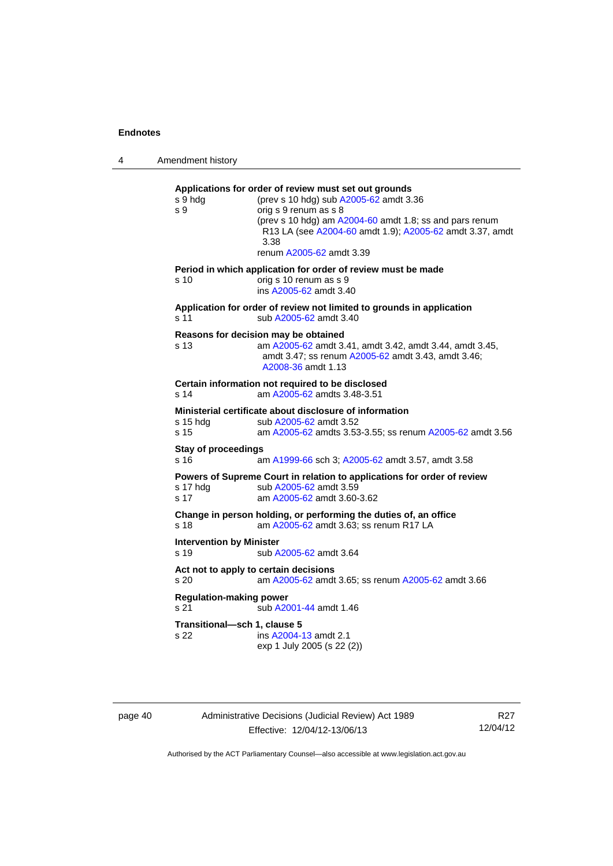4 Amendment history **Applications for order of review must set out grounds**  s 9 hdg (prev s 10 hdg) sub [A2005-62](http://www.legislation.act.gov.au/a/2005-62) amdt 3.36 s 9 orig s 9 renum as s 8 (prev s 10 hdg) am [A2004-60](http://www.legislation.act.gov.au/a/2004-60) amdt 1.8; ss and pars renum R13 LA (see [A2004-60](http://www.legislation.act.gov.au/a/2004-60) amdt 1.9); [A2005-62](http://www.legislation.act.gov.au/a/2005-62) amdt 3.37, amdt 3.38 renum [A2005-62](http://www.legislation.act.gov.au/a/2005-62) amdt 3.39 **Period in which application for order of review must be made**  s 10 orig s 10 renum as s 9 ins [A2005-62](http://www.legislation.act.gov.au/a/2005-62) amdt 3.40 **Application for order of review not limited to grounds in application**  s 11 sub [A2005-62](http://www.legislation.act.gov.au/a/2005-62) amdt 3.40 **Reasons for decision may be obtained**  s 13 am [A2005-62](http://www.legislation.act.gov.au/a/2005-62) amdt 3.41, amdt 3.42, amdt 3.44, amdt 3.45, amdt 3.47; ss renum [A2005-62](http://www.legislation.act.gov.au/a/2005-62) amdt 3.43, amdt 3.46; [A2008-36](http://www.legislation.act.gov.au/a/2008-36) amdt 1.13 **Certain information not required to be disclosed**  s 14 am [A2005-62](http://www.legislation.act.gov.au/a/2005-62) amdts 3.48-3.51 **Ministerial certificate about disclosure of information**<br>s 15 hdg sub A2005-62 amdt 3.52 sub [A2005-62](http://www.legislation.act.gov.au/a/2005-62) amdt 3.52 s 15 am [A2005-62](http://www.legislation.act.gov.au/a/2005-62) amdts 3.53-3.55; ss renum [A2005-62](http://www.legislation.act.gov.au/a/2005-62) amdt 3.56 **Stay of proceedings**  s 16 am [A1999-66](http://www.legislation.act.gov.au/a/1999-66) sch 3; [A2005-62](http://www.legislation.act.gov.au/a/2005-62) amdt 3.57, amdt 3.58 **Powers of Supreme Court in relation to applications for order of review**  s 17 hdg sub [A2005-62](http://www.legislation.act.gov.au/a/2005-62) amdt 3.59 s 17 am [A2005-62](http://www.legislation.act.gov.au/a/2005-62) amdt 3.60-3.62 **Change in person holding, or performing the duties of, an office**  s 18 **am [A2005-62](http://www.legislation.act.gov.au/a/2005-62)** amdt 3.63; ss renum R17 LA **Intervention by Minister**  s 19 sub [A2005-62](http://www.legislation.act.gov.au/a/2005-62) amdt 3.64 **Act not to apply to certain decisions**  s 20 am [A2005-62](http://www.legislation.act.gov.au/a/2005-62) amdt 3.65; ss renum [A2005-62](http://www.legislation.act.gov.au/a/2005-62) amdt 3.66 **Regulation-making power**  s 21 sub [A2001-44](http://www.legislation.act.gov.au/a/2001-44) amdt 1.46 **Transitional—sch 1, clause 5**  s 22 ins [A2004-13](http://www.legislation.act.gov.au/a/2004-13) amdt 2.1 exp 1 July 2005 (s 22 (2))

page 40 Administrative Decisions (Judicial Review) Act 1989 Effective: 12/04/12-13/06/13

R27 12/04/12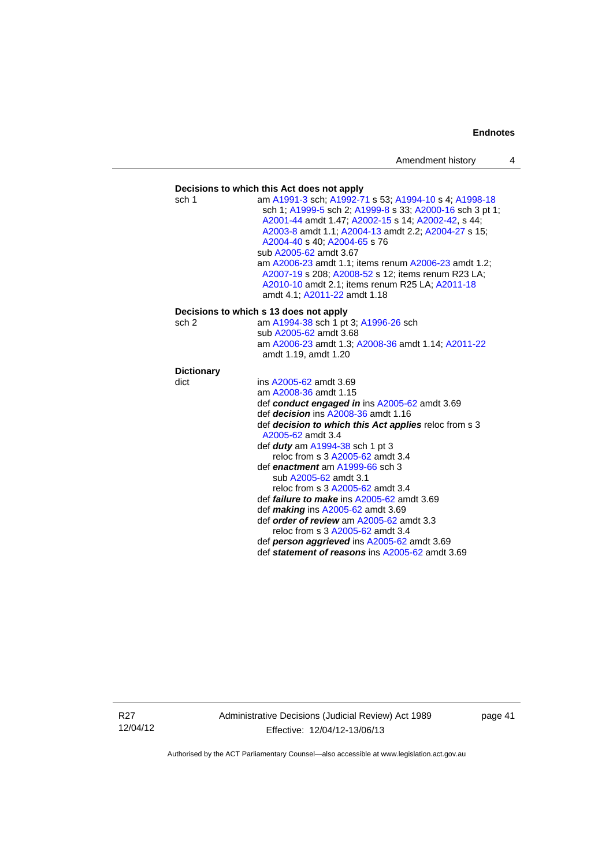#### **Decisions to which this Act does not apply**  sch 1 am [A1991-3](http://www.legislation.act.gov.au/a/1991-3) sch; [A1992-71](http://www.legislation.act.gov.au/a/1992-71) s 53; [A1994-10](http://www.legislation.act.gov.au/a/1994-10) s 4; [A1998-18](http://www.legislation.act.gov.au/a/1998-18) sch 1; [A1999-5](http://www.legislation.act.gov.au/a/1999-5) sch 2; [A1999-8](http://www.legislation.act.gov.au/a/1999-8) s 33; [A2000-16](http://www.legislation.act.gov.au/a/2000-16) sch 3 pt 1; [A2001-44](http://www.legislation.act.gov.au/a/2001-44) amdt 1.47; [A2002-15](http://www.legislation.act.gov.au/a/2002-15) s 14; [A2002-42](http://www.legislation.act.gov.au/a/2002-42), s 44; [A2003-8](http://www.legislation.act.gov.au/a/2003-8) amdt 1.1; [A2004-13](http://www.legislation.act.gov.au/a/2004-13) amdt 2.2; [A2004-27](http://www.legislation.act.gov.au/a/2004-27) s 15; [A2004-40](http://www.legislation.act.gov.au/a/2004-40) s 40; [A2004-65](http://www.legislation.act.gov.au/a/2004-65) s 76 sub [A2005-62](http://www.legislation.act.gov.au/a/2005-62) amdt 3.67 am [A2006-23](http://www.legislation.act.gov.au/a/2006-23) amdt 1.1; items renum [A2006-23](http://www.legislation.act.gov.au/a/2006-23) amdt 1.2; [A2007-19](http://www.legislation.act.gov.au/a/2007-19) s 208; [A2008-52](http://www.legislation.act.gov.au/a/2008-52) s 12; items renum R23 LA; [A2010-10](http://www.legislation.act.gov.au/a/2010-10) amdt 2.1; items renum R25 LA; [A2011-18](http://www.legislation.act.gov.au/a/2011-18) amdt 4.1; [A2011-22](http://www.legislation.act.gov.au/a/2011-22) amdt 1.18 **Decisions to which s 13 does not apply**  sch 2 am [A1994-38](http://www.legislation.act.gov.au/a/1994-38) sch 1 pt 3; [A1996-26](http://www.legislation.act.gov.au/a/1996-26) sch sub [A2005-62](http://www.legislation.act.gov.au/a/2005-62) amdt 3.68 am [A2006-23](http://www.legislation.act.gov.au/a/2006-23) amdt 1.3; [A2008-36](http://www.legislation.act.gov.au/a/2008-36) amdt 1.14; [A2011-22](http://www.legislation.act.gov.au/a/2011-22) amdt 1.19, amdt 1.20 **Dictionary**  dict ins [A2005-62](http://www.legislation.act.gov.au/a/2005-62) amdt 3.69 am [A2008-36](http://www.legislation.act.gov.au/a/2008-36) amdt 1.15 def *conduct engaged in* ins [A2005-62](http://www.legislation.act.gov.au/a/2005-62) amdt 3.69 def *decision* ins [A2008-36](http://www.legislation.act.gov.au/a/2008-36) amdt 1.16 def *decision to which this Act applies* reloc from s 3 [A2005-62](http://www.legislation.act.gov.au/a/2005-62) amdt 3.4 def *duty* am [A1994-38](http://www.legislation.act.gov.au/a/1994-38) sch 1 pt 3 reloc from s 3 [A2005-62](http://www.legislation.act.gov.au/a/2005-62) amdt 3.4 def *enactment* am [A1999-66](http://www.legislation.act.gov.au/a/1999-66) sch 3 sub [A2005-62](http://www.legislation.act.gov.au/a/2005-62) amdt 3.1 reloc from s 3 [A2005-62](http://www.legislation.act.gov.au/a/2005-62) amdt 3.4 def *failure to make* ins [A2005-62](http://www.legislation.act.gov.au/a/2005-62) amdt 3.69 def *making* ins [A2005-62](http://www.legislation.act.gov.au/a/2005-62) amdt 3.69 def *order of review* am [A2005-62](http://www.legislation.act.gov.au/a/2005-62) amdt 3.3 reloc from s 3 [A2005-62](http://www.legislation.act.gov.au/a/2005-62) amdt 3.4 def *person aggrieved* ins [A2005-62](http://www.legislation.act.gov.au/a/2005-62) amdt 3.69 def *statement of reasons* ins [A2005-62](http://www.legislation.act.gov.au/a/2005-62) amdt 3.69

R27 12/04/12 Administrative Decisions (Judicial Review) Act 1989 Effective: 12/04/12-13/06/13

page 41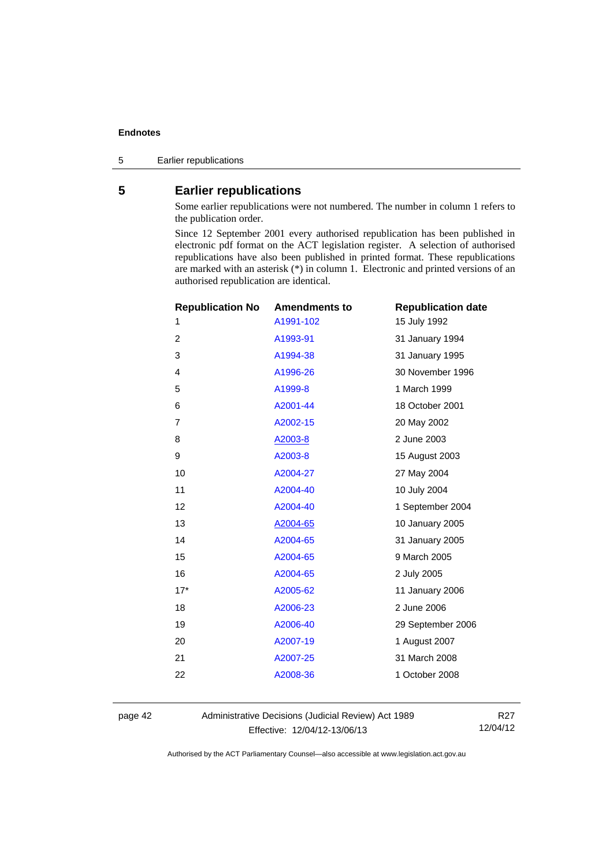<span id="page-45-0"></span>5 Earlier republications

# **5 Earlier republications**

Some earlier republications were not numbered. The number in column 1 refers to the publication order.

Since 12 September 2001 every authorised republication has been published in electronic pdf format on the ACT legislation register. A selection of authorised republications have also been published in printed format. These republications are marked with an asterisk (\*) in column 1. Electronic and printed versions of an authorised republication are identical.

| <b>Republication No</b> | <b>Amendments to</b> | <b>Republication date</b> |  |
|-------------------------|----------------------|---------------------------|--|
| 1                       | A1991-102            | 15 July 1992              |  |
| $\overline{2}$          | A1993-91             | 31 January 1994           |  |
| 3                       | A1994-38             | 31 January 1995           |  |
| 4                       | A1996-26             | 30 November 1996          |  |
| 5                       | A1999-8              | 1 March 1999              |  |
| 6                       | A2001-44             | 18 October 2001           |  |
| 7                       | A2002-15             | 20 May 2002               |  |
| 8                       | A2003-8              | 2 June 2003               |  |
| 9                       | A2003-8              | 15 August 2003            |  |
| 10                      | A2004-27             | 27 May 2004               |  |
| 11                      | A2004-40             | 10 July 2004              |  |
| 12                      | A2004-40             | 1 September 2004          |  |
| 13                      | A2004-65             | 10 January 2005           |  |
| 14                      | A2004-65             | 31 January 2005           |  |
| 15                      | A2004-65             | 9 March 2005              |  |
| 16                      | A2004-65             | 2 July 2005               |  |
| $17*$                   | A2005-62             | 11 January 2006           |  |
| 18                      | A2006-23             | 2 June 2006               |  |
| 19                      | A2006-40             | 29 September 2006         |  |
| 20                      | A2007-19             | 1 August 2007             |  |
| 21                      | A2007-25             | 31 March 2008             |  |
| 22                      | A2008-36             | 1 October 2008            |  |
|                         |                      |                           |  |

page 42 Administrative Decisions (Judicial Review) Act 1989 Effective: 12/04/12-13/06/13

R27 12/04/12